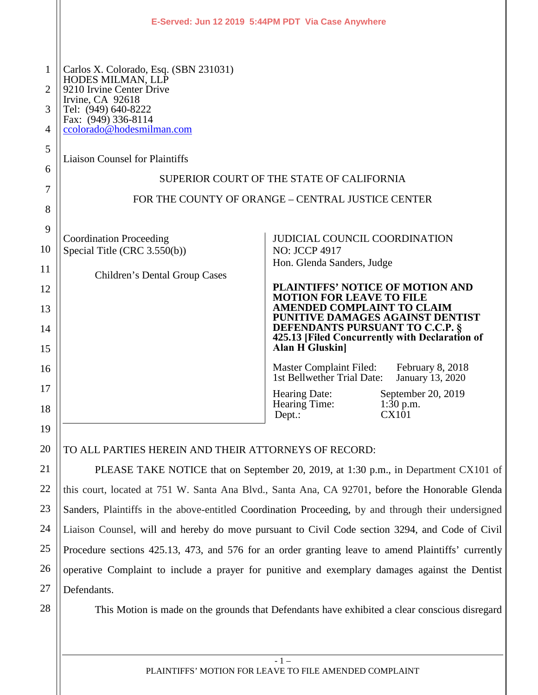|                                                               |                                                                                                                                                                                                                                                                                                                                  | E-Served: Jun 12 2019 5:44PM PDT Via Case Anywhere                                                                                                                                                                                                                                                                                                                                                                                                               |                                                                |  |  |  |  |
|---------------------------------------------------------------|----------------------------------------------------------------------------------------------------------------------------------------------------------------------------------------------------------------------------------------------------------------------------------------------------------------------------------|------------------------------------------------------------------------------------------------------------------------------------------------------------------------------------------------------------------------------------------------------------------------------------------------------------------------------------------------------------------------------------------------------------------------------------------------------------------|----------------------------------------------------------------|--|--|--|--|
| $\mathbf{1}$<br>$\overline{2}$<br>3<br>4<br>5<br>6<br>7<br>8  | Carlos X. Colorado, Esq. (SBN 231031)<br>HODES MILMAN, LLP<br>9210 Irvine Center Drive<br>Irvine, CA 92618<br>Tel: (949) 640-8222<br>Fax: (949) 336-8114<br>ccolorado@hodesmilman.com<br><b>Liaison Counsel for Plaintiffs</b><br>SUPERIOR COURT OF THE STATE OF CALIFORNIA<br>FOR THE COUNTY OF ORANGE - CENTRAL JUSTICE CENTER |                                                                                                                                                                                                                                                                                                                                                                                                                                                                  |                                                                |  |  |  |  |
| 9<br>10<br>11<br>12<br>13<br>14<br>15<br>16<br>17<br>18<br>19 | <b>Coordination Proceeding</b><br>Special Title (CRC 3.550(b))<br>Children's Dental Group Cases                                                                                                                                                                                                                                  | <b>JUDICIAL COUNCIL COORDINATION</b><br><b>NO: JCCP 4917</b><br>Hon. Glenda Sanders, Judge<br>PLAINTIFFS' NOTICE OF MOTION AND<br><b>MOTION FOR LEAVE TO FILE</b><br>AMENDED COMPLAINT TO CLAIM<br>PUNITIVE DAMAGES AGAINST DENTIST<br>DEFENDANTS PURSUANT TO C.C.P. §<br>425.13 [Filed Concurrently with Declaration of<br>Alan H Gluskin<br>Master Complaint Filed: February 8, 2018<br>1st Bellwether Trial Date:<br>Hearing Date:<br>Hearing Time:<br>Dept.: | January 13, 2020<br>September 20, 2019<br>$1:30$ p.m.<br>CX101 |  |  |  |  |
| 20                                                            | TO ALL PARTIES HEREIN AND THEIR ATTORNEYS OF RECORD:                                                                                                                                                                                                                                                                             |                                                                                                                                                                                                                                                                                                                                                                                                                                                                  |                                                                |  |  |  |  |
| 21                                                            | PLEASE TAKE NOTICE that on September 20, 2019, at 1:30 p.m., in Department CX101 of                                                                                                                                                                                                                                              |                                                                                                                                                                                                                                                                                                                                                                                                                                                                  |                                                                |  |  |  |  |

PLEASE TAKE NOTICE that on September 20, 2019, at 1:30 p.m., in Department CX101 of this court, located at 751 W. Santa Ana Blvd., Santa Ana, CA 92701, before the Honorable Glenda Sanders, Plaintiffs in the above-entitled Coordination Proceeding, by and through their undersigned Liaison Counsel, will and hereby do move pursuant to Civil Code section 3294, and Code of Civil Procedure sections 425.13, 473, and 576 for an order granting leave to amend Plaintiffs' currently operative Complaint to include a prayer for punitive and exemplary damages against the Dentist Defendants.

22

23

24

25

26

27

28

This Motion is made on the grounds that Defendants have exhibited a clear conscious disregard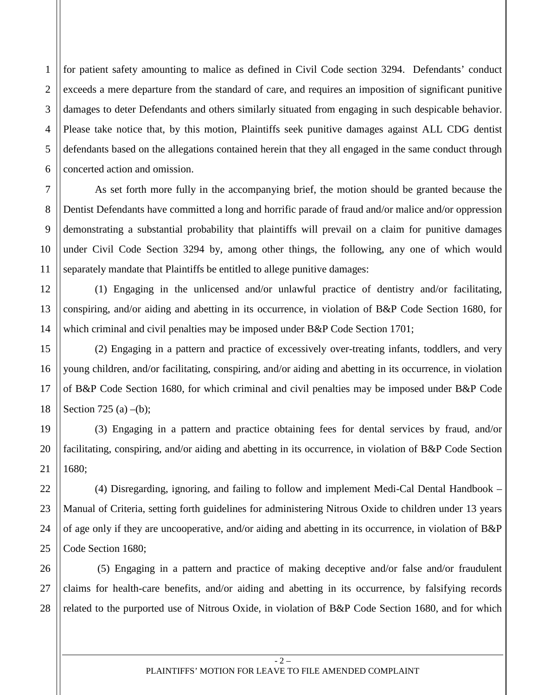3 4 for patient safety amounting to malice as defined in Civil Code section 3294. Defendants' conduct exceeds a mere departure from the standard of care, and requires an imposition of significant punitive damages to deter Defendants and others similarly situated from engaging in such despicable behavior. Please take notice that, by this motion, Plaintiffs seek punitive damages against ALL CDG dentist defendants based on the allegations contained herein that they all engaged in the same conduct through concerted action and omission.

1

2

5

6

7

8

9

10

11

12

13

14

15

16

17

18

19

20

21

22

23

24

25

As set forth more fully in the accompanying brief, the motion should be granted because the Dentist Defendants have committed a long and horrific parade of fraud and/or malice and/or oppression demonstrating a substantial probability that plaintiffs will prevail on a claim for punitive damages under Civil Code Section 3294 by, among other things, the following, any one of which would separately mandate that Plaintiffs be entitled to allege punitive damages:

(1) Engaging in the unlicensed and/or unlawful practice of dentistry and/or facilitating, conspiring, and/or aiding and abetting in its occurrence, in violation of B&P Code Section 1680, for which criminal and civil penalties may be imposed under B&P Code Section 1701;

(2) Engaging in a pattern and practice of excessively over-treating infants, toddlers, and very young children, and/or facilitating, conspiring, and/or aiding and abetting in its occurrence, in violation of B&P Code Section 1680, for which criminal and civil penalties may be imposed under B&P Code Section 725 (a) –(b);

(3) Engaging in a pattern and practice obtaining fees for dental services by fraud, and/or facilitating, conspiring, and/or aiding and abetting in its occurrence, in violation of B&P Code Section 1680;

(4) Disregarding, ignoring, and failing to follow and implement Medi-Cal Dental Handbook – Manual of Criteria, setting forth guidelines for administering Nitrous Oxide to children under 13 years of age only if they are uncooperative, and/or aiding and abetting in its occurrence, in violation of B&P Code Section 1680;

26 27 28 (5) Engaging in a pattern and practice of making deceptive and/or false and/or fraudulent claims for health-care benefits, and/or aiding and abetting in its occurrence, by falsifying records related to the purported use of Nitrous Oxide, in violation of B&P Code Section 1680, and for which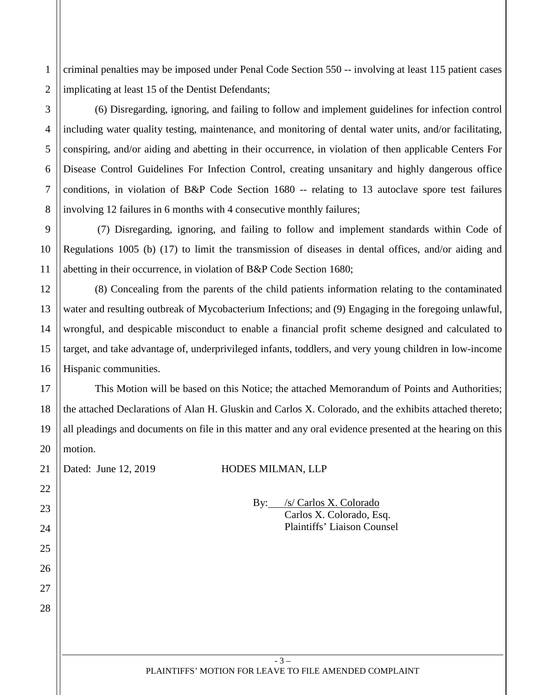1 2 criminal penalties may be imposed under Penal Code Section 550 -- involving at least 115 patient cases implicating at least 15 of the Dentist Defendants;

27

28

(6) Disregarding, ignoring, and failing to follow and implement guidelines for infection control including water quality testing, maintenance, and monitoring of dental water units, and/or facilitating, conspiring, and/or aiding and abetting in their occurrence, in violation of then applicable Centers For Disease Control Guidelines For Infection Control, creating unsanitary and highly dangerous office conditions, in violation of B&P Code Section 1680 -- relating to 13 autoclave spore test failures involving 12 failures in 6 months with 4 consecutive monthly failures;

(7) Disregarding, ignoring, and failing to follow and implement standards within Code of Regulations 1005 (b) (17) to limit the transmission of diseases in dental offices, and/or aiding and abetting in their occurrence, in violation of B&P Code Section 1680;

(8) Concealing from the parents of the child patients information relating to the contaminated water and resulting outbreak of Mycobacterium Infections; and (9) Engaging in the foregoing unlawful, wrongful, and despicable misconduct to enable a financial profit scheme designed and calculated to target, and take advantage of, underprivileged infants, toddlers, and very young children in low-income Hispanic communities.

This Motion will be based on this Notice; the attached Memorandum of Points and Authorities; the attached Declarations of Alan H. Gluskin and Carlos X. Colorado, and the exhibits attached thereto; all pleadings and documents on file in this matter and any oral evidence presented at the hearing on this motion.

# Dated: June 12, 2019 **HODES MILMAN, LLP**

By: /s/ Carlos X. Colorado Carlos X. Colorado, Esq. Plaintiffs' Liaison Counsel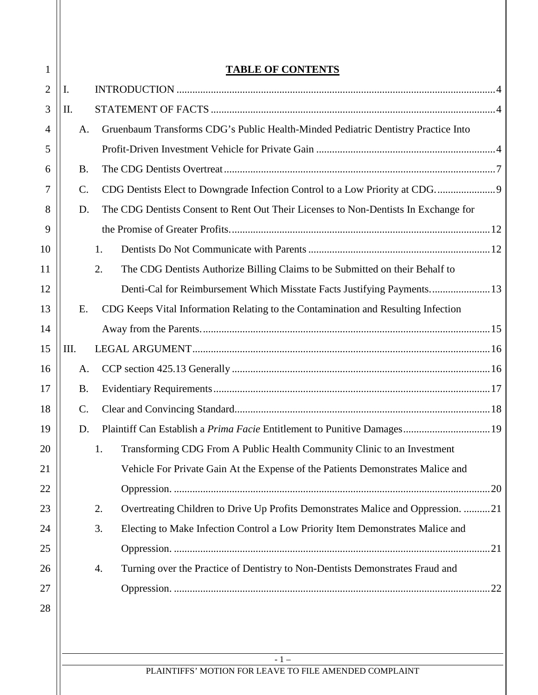| $\mathbf{1}$   |                |    | <b>TABLE OF CONTENTS</b>                                                             |
|----------------|----------------|----|--------------------------------------------------------------------------------------|
| $\overline{2}$ | I.             |    |                                                                                      |
| 3              | Π.             |    |                                                                                      |
| 4              | A.             |    | Gruenbaum Transforms CDG's Public Health-Minded Pediatric Dentistry Practice Into    |
| 5              |                |    |                                                                                      |
| 6              | <b>B.</b>      |    |                                                                                      |
| 7              | $\mathbf{C}$ . |    |                                                                                      |
| 8              | D.             |    | The CDG Dentists Consent to Rent Out Their Licenses to Non-Dentists In Exchange for  |
| 9              |                |    |                                                                                      |
| 10             |                |    | 1.                                                                                   |
| 11             |                | 2. | The CDG Dentists Authorize Billing Claims to be Submitted on their Behalf to         |
| 12             |                |    |                                                                                      |
| 13             | Ε.             |    | CDG Keeps Vital Information Relating to the Contamination and Resulting Infection    |
| 14             |                |    |                                                                                      |
| 15             | III.           |    |                                                                                      |
| 16             | A.             |    |                                                                                      |
| 17             | <b>B.</b>      |    |                                                                                      |
| 18             | C.             |    |                                                                                      |
| 19             | D.             |    | Plaintiff Can Establish a Prima Facie Entitlement to Punitive Damages 19             |
| 20             |                |    | 1. Transforming CDG From A Public Health Community Clinic to an Investment           |
| 21             |                |    | Vehicle For Private Gain At the Expense of the Patients Demonstrates Malice and      |
| 22             |                |    |                                                                                      |
| 23             |                | 2. | Overtreating Children to Drive Up Profits Demonstrates Malice and Oppression. 21     |
| 24             |                |    | Electing to Make Infection Control a Low Priority Item Demonstrates Malice and<br>3. |
| 25             |                |    |                                                                                      |
| 26             |                |    | Turning over the Practice of Dentistry to Non-Dentists Demonstrates Fraud and<br>4.  |
| 27             |                |    |                                                                                      |
| 28             |                |    |                                                                                      |
|                |                |    |                                                                                      |
|                |                |    | $-1-$                                                                                |
|                |                |    | PLAINTIFFS' MOTION FOR LEAVE TO FILE AMENDED COMPLAINT                               |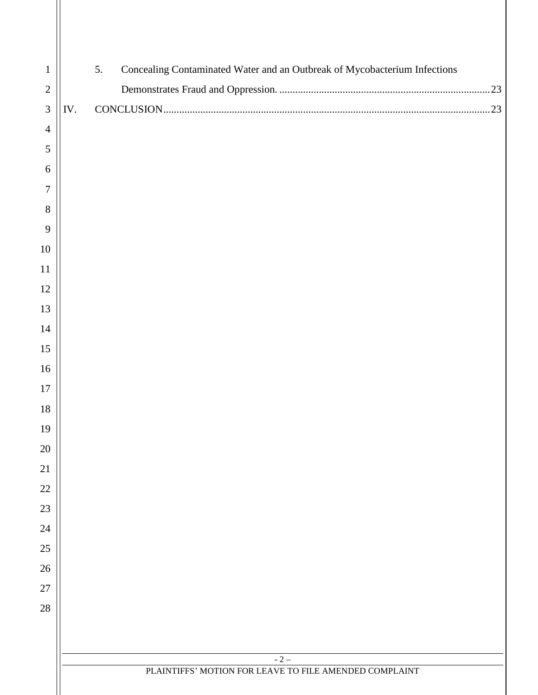| $\mathbf{1}$   |     | 5.<br>Concealing Contaminated Water and an Outbreak of Mycobacterium Infections |  |  |  |  |  |  |
|----------------|-----|---------------------------------------------------------------------------------|--|--|--|--|--|--|
| $\sqrt{2}$     |     |                                                                                 |  |  |  |  |  |  |
| $\mathfrak{Z}$ | IV. |                                                                                 |  |  |  |  |  |  |
| $\overline{4}$ |     |                                                                                 |  |  |  |  |  |  |
| 5              |     |                                                                                 |  |  |  |  |  |  |
| 6              |     |                                                                                 |  |  |  |  |  |  |
| $\overline{7}$ |     |                                                                                 |  |  |  |  |  |  |
| $8\,$          |     |                                                                                 |  |  |  |  |  |  |
| 9              |     |                                                                                 |  |  |  |  |  |  |
| $10\,$         |     |                                                                                 |  |  |  |  |  |  |
| 11             |     |                                                                                 |  |  |  |  |  |  |
| 12             |     |                                                                                 |  |  |  |  |  |  |
| 13             |     |                                                                                 |  |  |  |  |  |  |
| $14$           |     |                                                                                 |  |  |  |  |  |  |
| 15             |     |                                                                                 |  |  |  |  |  |  |
| 16             |     |                                                                                 |  |  |  |  |  |  |
| $17\,$         |     |                                                                                 |  |  |  |  |  |  |
| $18\,$         |     |                                                                                 |  |  |  |  |  |  |
| 19             |     |                                                                                 |  |  |  |  |  |  |
| $20\,$         |     |                                                                                 |  |  |  |  |  |  |
| 21             |     |                                                                                 |  |  |  |  |  |  |
| $22\,$         |     |                                                                                 |  |  |  |  |  |  |
| 23             |     |                                                                                 |  |  |  |  |  |  |
| $24\,$         |     |                                                                                 |  |  |  |  |  |  |
| $25\,$         |     |                                                                                 |  |  |  |  |  |  |
| 26             |     |                                                                                 |  |  |  |  |  |  |
| $27\,$         |     |                                                                                 |  |  |  |  |  |  |
| 28             |     |                                                                                 |  |  |  |  |  |  |
|                |     |                                                                                 |  |  |  |  |  |  |
|                |     | $-2-$                                                                           |  |  |  |  |  |  |
|                |     | PLAINTIFFS' MOTION FOR LEAVE TO FILE AMENDED COMPLAINT                          |  |  |  |  |  |  |
|                |     |                                                                                 |  |  |  |  |  |  |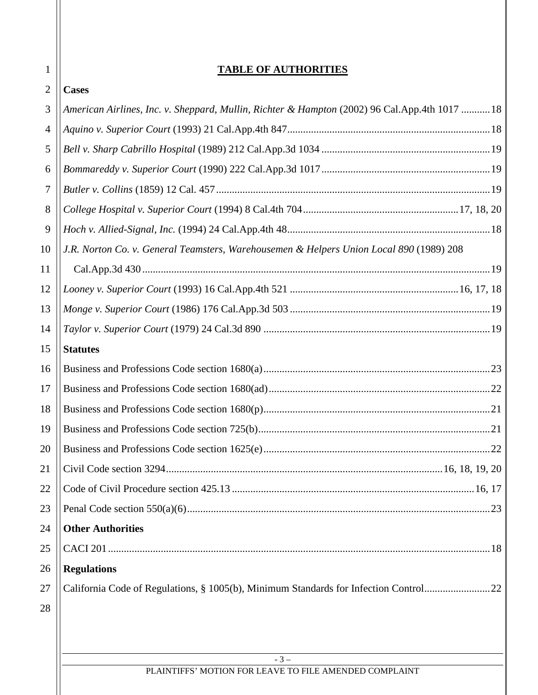# **TABLE OF AUTHORITIES**

1  $\overline{a}$ 

 $\mathbf{H}$ 

| $\overline{2}$ | <b>Cases</b>                                                                                  |
|----------------|-----------------------------------------------------------------------------------------------|
| 3              | American Airlines, Inc. v. Sheppard, Mullin, Richter & Hampton (2002) 96 Cal.App.4th 1017  18 |
| $\overline{4}$ |                                                                                               |
| 5              |                                                                                               |
| 6              |                                                                                               |
| $\tau$         |                                                                                               |
| 8              |                                                                                               |
| 9              |                                                                                               |
| 10             | J.R. Norton Co. v. General Teamsters, Warehousemen & Helpers Union Local 890 (1989) 208       |
| 11             |                                                                                               |
| 12             |                                                                                               |
| 13             |                                                                                               |
| 14             |                                                                                               |
| 15             | <b>Statutes</b>                                                                               |
| 16             |                                                                                               |
| 17             |                                                                                               |
| 18             |                                                                                               |
| 19             |                                                                                               |
| 20             |                                                                                               |
| 21             |                                                                                               |
| 22             |                                                                                               |
| 23             |                                                                                               |
| 24             | <b>Other Authorities</b>                                                                      |
| 25             |                                                                                               |
| 26             | <b>Regulations</b>                                                                            |
| 27             | California Code of Regulations, § 1005(b), Minimum Standards for Infection Control22          |
| 28             |                                                                                               |
|                |                                                                                               |
|                |                                                                                               |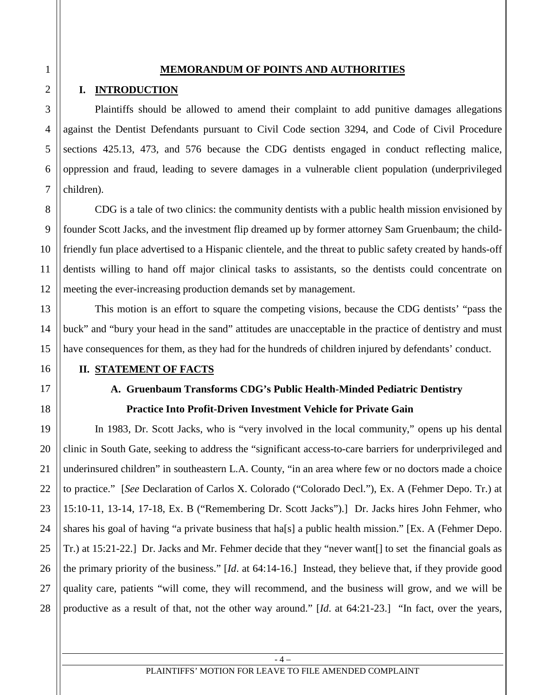#### **MEMORANDUM OF POINTS AND AUTHORITIES**

## **I. INTRODUCTION**

Plaintiffs should be allowed to amend their complaint to add punitive damages allegations against the Dentist Defendants pursuant to Civil Code section 3294, and Code of Civil Procedure sections 425.13, 473, and 576 because the CDG dentists engaged in conduct reflecting malice, oppression and fraud, leading to severe damages in a vulnerable client population (underprivileged children).

CDG is a tale of two clinics: the community dentists with a public health mission envisioned by founder Scott Jacks, and the investment flip dreamed up by former attorney Sam Gruenbaum; the childfriendly fun place advertised to a Hispanic clientele, and the threat to public safety created by hands-off dentists willing to hand off major clinical tasks to assistants, so the dentists could concentrate on meeting the ever-increasing production demands set by management.

This motion is an effort to square the competing visions, because the CDG dentists' "pass the buck" and "bury your head in the sand" attitudes are unacceptable in the practice of dentistry and must have consequences for them, as they had for the hundreds of children injured by defendants' conduct.

### **II. STATEMENT OF FACTS**

# **A. Gruenbaum Transforms CDG's Public Health-Minded Pediatric Dentistry Practice Into Profit-Driven Investment Vehicle for Private Gain**

In 1983, Dr. Scott Jacks, who is "very involved in the local community," opens up his dental clinic in South Gate, seeking to address the "significant access-to-care barriers for underprivileged and underinsured children" in southeastern L.A. County, "in an area where few or no doctors made a choice to practice." [*See* Declaration of Carlos X. Colorado ("Colorado Decl."), Ex. A (Fehmer Depo. Tr.) at 15:10-11, 13-14, 17-18, Ex. B ("Remembering Dr. Scott Jacks").] Dr. Jacks hires John Fehmer, who shares his goal of having "a private business that ha[s] a public health mission." [Ex. A (Fehmer Depo. Tr.) at 15:21-22.] Dr. Jacks and Mr. Fehmer decide that they "never want[] to set the financial goals as the primary priority of the business." [*Id*. at 64:14-16.] Instead, they believe that, if they provide good quality care, patients "will come, they will recommend, and the business will grow, and we will be productive as a result of that, not the other way around." [*Id*. at 64:21-23.] "In fact, over the years,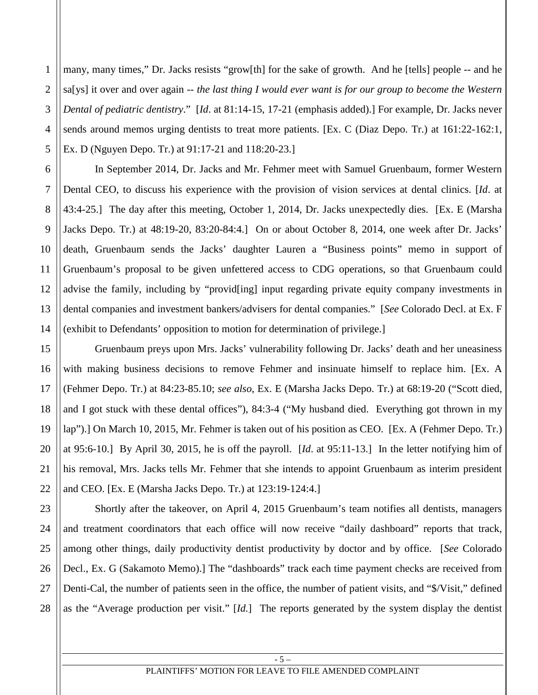1 2 many, many times," Dr. Jacks resists "grow[th] for the sake of growth. And he [tells] people -- and he sa[ys] it over and over again -- *the last thing I would ever want is for our group to become the Western Dental of pediatric dentistry*." [*Id*. at 81:14-15, 17-21 (emphasis added).] For example, Dr. Jacks never sends around memos urging dentists to treat more patients. [Ex. C (Diaz Depo. Tr.) at 161:22-162:1, Ex. D (Nguyen Depo. Tr.) at 91:17-21 and 118:20-23.]

In September 2014, Dr. Jacks and Mr. Fehmer meet with Samuel Gruenbaum, former Western Dental CEO, to discuss his experience with the provision of vision services at dental clinics. [*Id*. at 43:4-25.] The day after this meeting, October 1, 2014, Dr. Jacks unexpectedly dies. [Ex. E (Marsha Jacks Depo. Tr.) at 48:19-20, 83:20-84:4.] On or about October 8, 2014, one week after Dr. Jacks' death, Gruenbaum sends the Jacks' daughter Lauren a "Business points" memo in support of Gruenbaum's proposal to be given unfettered access to CDG operations, so that Gruenbaum could advise the family, including by "provid[ing] input regarding private equity company investments in dental companies and investment bankers/advisers for dental companies." [*See* Colorado Decl. at Ex. F (exhibit to Defendants' opposition to motion for determination of privilege.]

Gruenbaum preys upon Mrs. Jacks' vulnerability following Dr. Jacks' death and her uneasiness with making business decisions to remove Fehmer and insinuate himself to replace him. [Ex. A (Fehmer Depo. Tr.) at 84:23-85.10; *see also*, Ex. E (Marsha Jacks Depo. Tr.) at 68:19-20 ("Scott died, and I got stuck with these dental offices"), 84:3-4 ("My husband died. Everything got thrown in my lap").] On March 10, 2015, Mr. Fehmer is taken out of his position as CEO. [Ex. A (Fehmer Depo. Tr.) at 95:6-10.] By April 30, 2015, he is off the payroll. [*Id*. at 95:11-13.] In the letter notifying him of his removal, Mrs. Jacks tells Mr. Fehmer that she intends to appoint Gruenbaum as interim president and CEO. [Ex. E (Marsha Jacks Depo. Tr.) at 123:19-124:4.]

Shortly after the takeover, on April 4, 2015 Gruenbaum's team notifies all dentists, managers and treatment coordinators that each office will now receive "daily dashboard" reports that track, among other things, daily productivity dentist productivity by doctor and by office. [*See* Colorado Decl., Ex. G (Sakamoto Memo).] The "dashboards" track each time payment checks are received from Denti-Cal, the number of patients seen in the office, the number of patient visits, and "\$/Visit," defined as the "Average production per visit." [*Id.*] The reports generated by the system display the dentist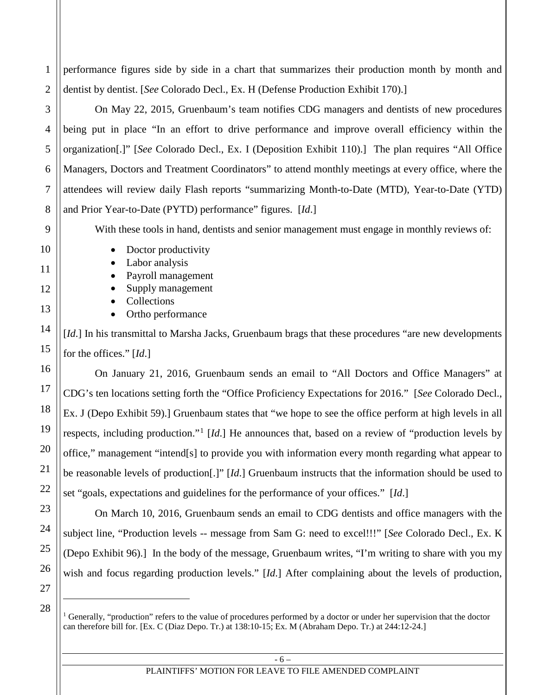2 3 4 5 6 7 8 9 10 11 12 13 14 15 dentist by dentist. [*See* Colorado Decl., Ex. H (Defense Production Exhibit 170).] On May 22, 2015, Gruenbaum's team notifies CDG managers and dentists of new procedures being put in place "In an effort to drive performance and improve overall efficiency within the organization[.]" [*See* Colorado Decl., Ex. I (Deposition Exhibit 110).] The plan requires "All Office Managers, Doctors and Treatment Coordinators" to attend monthly meetings at every office, where the attendees will review daily Flash reports "summarizing Month-to-Date (MTD), Year-to-Date (YTD) and Prior Year-to-Date (PYTD) performance" figures. [*Id*.] With these tools in hand, dentists and senior management must engage in monthly reviews of: • Doctor productivity • Labor analysis • Payroll management • Supply management • Collections • Ortho performance [*Id*.] In his transmittal to Marsha Jacks, Gruenbaum brags that these procedures "are new developments" for the offices." [*Id*.]

performance figures side by side in a chart that summarizes their production month by month and

1

16

17

18

19

20

21

22

23

24

25

26

27

28

On January 21, 2016, Gruenbaum sends an email to "All Doctors and Office Managers" at CDG's ten locations setting forth the "Office Proficiency Expectations for 2016." [*See* Colorado Decl., Ex. J (Depo Exhibit 59).] Gruenbaum states that "we hope to see the office perform at high levels in all respects, including production."<sup>1</sup> [*Id*.] He announces that, based on a review of "production levels by office," management "intend[s] to provide you with information every month regarding what appear to be reasonable levels of production[.]" [*Id*.] Gruenbaum instructs that the information should be used to set "goals, expectations and guidelines for the performance of your offices." [*Id*.]

On March 10, 2016, Gruenbaum sends an email to CDG dentists and office managers with the subject line, "Production levels -- message from Sam G: need to excel!!!" [*See* Colorado Decl., Ex. K (Depo Exhibit 96).] In the body of the message, Gruenbaum writes, "I'm writing to share with you my wish and focus regarding production levels." [*Id*.] After complaining about the levels of production,

<sup>1</sup> Generally, "production" refers to the value of procedures performed by a doctor or under her supervision that the doctor can therefore bill for. [Ex. C (Diaz Depo. Tr.) at 138:10-15; Ex. M (Abraham Depo. Tr.) at 244:12-24.]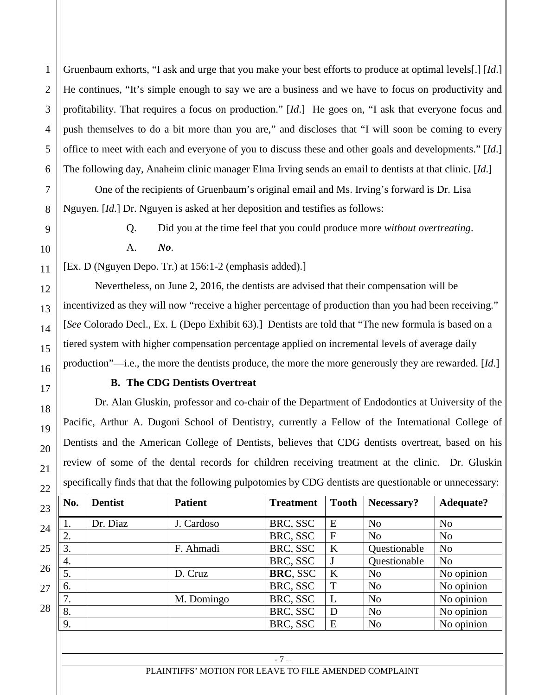Gruenbaum exhorts, "I ask and urge that you make your best efforts to produce at optimal levels[.] [*Id*.] He continues, "It's simple enough to say we are a business and we have to focus on productivity and profitability. That requires a focus on production." [*Id*.] He goes on, "I ask that everyone focus and push themselves to do a bit more than you are," and discloses that "I will soon be coming to every office to meet with each and everyone of you to discuss these and other goals and developments." [*Id*.] The following day, Anaheim clinic manager Elma Irving sends an email to dentists at that clinic. [*Id*.]

One of the recipients of Gruenbaum's original email and Ms. Irving's forward is Dr. Lisa Nguyen. [*Id*.] Dr. Nguyen is asked at her deposition and testifies as follows:

1

2

3

4

5

6

7

8

9

10

11

12

13

14

15

16

17

18

19

20

21

22

Q. Did you at the time feel that you could produce more *without overtreating*. A. *No*.

[Ex. D (Nguyen Depo. Tr.) at 156:1-2 (emphasis added).]

Nevertheless, on June 2, 2016, the dentists are advised that their compensation will be incentivized as they will now "receive a higher percentage of production than you had been receiving." [*See* Colorado Decl., Ex. L (Depo Exhibit 63).] Dentists are told that "The new formula is based on a tiered system with higher compensation percentage applied on incremental levels of average daily production"—i.e., the more the dentists produce, the more the more generously they are rewarded. [*Id*.]

# **B. The CDG Dentists Overtreat**

Dr. Alan Gluskin, professor and co-chair of the Department of Endodontics at University of the Pacific, Arthur A. Dugoni School of Dentistry, currently a Fellow of the International College of Dentists and the American College of Dentists, believes that CDG dentists overtreat, based on his review of some of the dental records for children receiving treatment at the clinic. Dr. Gluskin specifically finds that that the following pulpotomies by CDG dentists are questionable or unnecessary:

| $\parallel$ No.                                                                                                               | <b>Dentist</b> | <b>Patient</b> | <b>Treatment</b> | <b>Tooth</b> | Necessary?     | <b>Adequate?</b> |
|-------------------------------------------------------------------------------------------------------------------------------|----------------|----------------|------------------|--------------|----------------|------------------|
|                                                                                                                               | Dr. Diaz       | J. Cardoso     | BRC, SSC         | E            | N <sub>o</sub> | N <sub>o</sub>   |
| ۷.                                                                                                                            |                |                | BRC, SSC         | F            | No             | N <sub>0</sub>   |
|                                                                                                                               |                | F. Ahmadi      | BRC, SSC         | K            | Questionable   | N <sub>0</sub>   |
| 4.                                                                                                                            |                |                | BRC, SSC         |              | Questionable   | N <sub>o</sub>   |
|                                                                                                                               |                | D. Cruz        | BRC, SSC         | K            | N <sub>o</sub> | No opinion       |
| 6.                                                                                                                            |                |                | BRC, SSC         | T            | N <sub>o</sub> | No opinion       |
| 7.                                                                                                                            |                | M. Domingo     | BRC, SSC         |              | No             | No opinion       |
| $\begin{array}{c} \begin{array}{c} \begin{array}{c} \begin{array}{c} \end{array}\\ \end{array} \end{array} \end{array}$<br>8. |                |                | BRC, SSC         | D            | No             | No opinion       |
|                                                                                                                               |                |                | BRC, SSC         | E            | N <sub>o</sub> | No opinion       |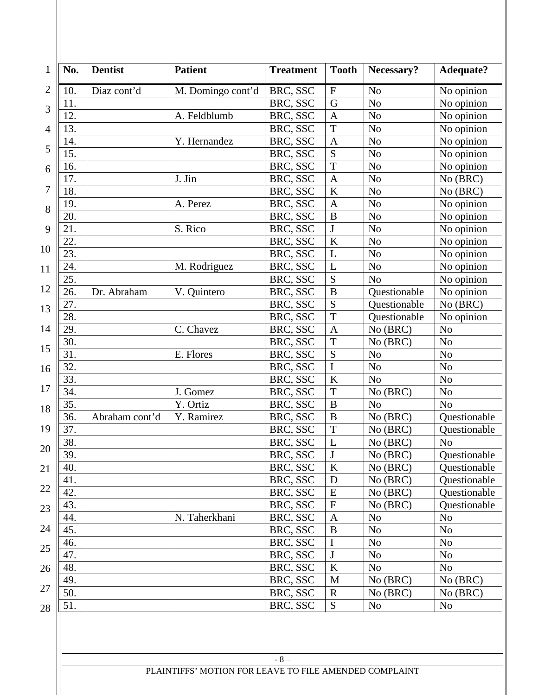| No.             | <b>Dentist</b> | <b>Patient</b>          | <b>Treatment</b> | <b>Tooth</b>              | Necessary?     | <b>Adequate?</b> |
|-----------------|----------------|-------------------------|------------------|---------------------------|----------------|------------------|
| 10.             | Diaz cont'd    | M. Domingo cont'd       | BRC, SSC         | $\boldsymbol{\mathrm{F}}$ | N <sub>o</sub> | No opinion       |
| 11.             |                |                         | BRC, SSC         | G                         | N <sub>o</sub> | No opinion       |
| 12.             |                | A. Feldblumb            | BRC, SSC         | $\overline{A}$            | N <sub>o</sub> | No opinion       |
| 13.             |                |                         | BRC, SSC         | T                         | N <sub>o</sub> | No opinion       |
| 14.             |                | Y. Hernandez            | BRC, SSC         | $\mathbf{A}$              | No             | No opinion       |
| 15.             |                |                         | BRC, SSC         | S                         | N <sub>o</sub> | No opinion       |
| 16.             |                |                         | BRC, SSC         | T                         | N <sub>o</sub> | No opinion       |
| 17.             |                | J. Jin                  | BRC, SSC         | $\overline{A}$            | N <sub>o</sub> | No (BRC)         |
| 18.             |                |                         | BRC, SSC         | $\bf K$                   | N <sub>o</sub> | No (BRC)         |
| 19.             |                | A. Perez                | BRC, SSC         | $\mathbf{A}$              | N <sub>o</sub> | No opinion       |
| 20.             |                |                         | BRC, SSC         | $\, {\bf B}$              | N <sub>o</sub> | No opinion       |
| 21.             |                | S. Rico                 | BRC, SSC         | J                         | N <sub>o</sub> | No opinion       |
| 22.             |                |                         | BRC, SSC         | $\bf K$                   | N <sub>o</sub> | No opinion       |
| 23.             |                |                         | BRC, SSC         | L                         | No             | No opinion       |
| 24.             |                | M. Rodriguez            | BRC, SSC         | L                         | No             | No opinion       |
| 25.             |                |                         | BRC, SSC         | S                         | N <sub>o</sub> | No opinion       |
| 26.             | Dr. Abraham    | V. Quintero             | BRC, SSC         | $\overline{B}$            | Questionable   | No opinion       |
| 27.             |                |                         | BRC, SSC         | S                         | Questionable   | No (BRC)         |
| 28.             |                |                         | BRC, SSC         | T                         | Questionable   | No opinion       |
| 29.             |                | $\overline{C}$ . Chavez | BRC, SSC         | $\overline{A}$            | No (BRC)       | N <sub>o</sub>   |
| 30.             |                |                         | BRC, SSC         | T                         | No (BRC)       | N <sub>o</sub>   |
| 31.             |                | E. Flores               | BRC, SSC         | S                         | N <sub>o</sub> | N <sub>o</sub>   |
| 32.             |                |                         | BRC, SSC         | $\mathbf I$               | No             | No               |
| 33.             |                |                         | BRC, SSC         | K                         | N <sub>o</sub> | N <sub>o</sub>   |
| 34.             |                | J. Gomez                | BRC, SSC         | T                         | No (BRC)       | N <sub>o</sub>   |
| 35.             |                | Y. Ortiz                | BRC, SSC         | $\, {\bf B}$              | N <sub>o</sub> | N <sub>o</sub>   |
| 36.             | Abraham cont'd | Y. Ramirez              | BRC, SSC         | $\, {\bf B}$              | No (BRC)       | Questionable     |
| 37.             |                |                         | BRC, SSC         | $\mathbf T$               | No (BRC)       | Questionable     |
|                 |                |                         |                  | L                         |                |                  |
| 38.             |                |                         | BRC, SSC         |                           | No (BRC)       | N <sub>o</sub>   |
| $\parallel$ 39. |                |                         | BRC, SSC         | $\bf J$                   | No (BRC)       | Questionable     |
| 40.             |                |                         | BRC, SSC         | $\bf K$                   | No (BRC)       | Questionable     |
| 41.             |                |                         | BRC, SSC         | D                         | No (BRC)       | Questionable     |
| 42.             |                |                         | BRC, SSC         | ${\bf E}$                 | No (BRC)       | Questionable     |
| 43.             |                |                         | BRC, SSC         | $\mathbf F$               | No (BRC)       | Questionable     |
| 44.             |                | N. Taherkhani           | BRC, SSC         | A                         | N <sub>o</sub> | N <sub>o</sub>   |
| 45.             |                |                         | BRC, SSC         | B                         | N <sub>o</sub> | No               |
| 46.             |                |                         | BRC, SSC         | I                         | N <sub>o</sub> | N <sub>o</sub>   |
| 47.             |                |                         | BRC, SSC         | J                         | N <sub>o</sub> | No               |
| 48.             |                |                         | BRC, SSC         | K                         | N <sub>o</sub> | N <sub>o</sub>   |
| 49.             |                |                         | BRC, SSC         | M                         | No (BRC)       | No (BRC)         |
| 50.             |                |                         | BRC, SSC         | $\mathbf R$               | No (BRC)       | No (BRC)         |
| 51.             |                |                         | BRC, SSC         | S                         | No             | N <sub>o</sub>   |

- 8 –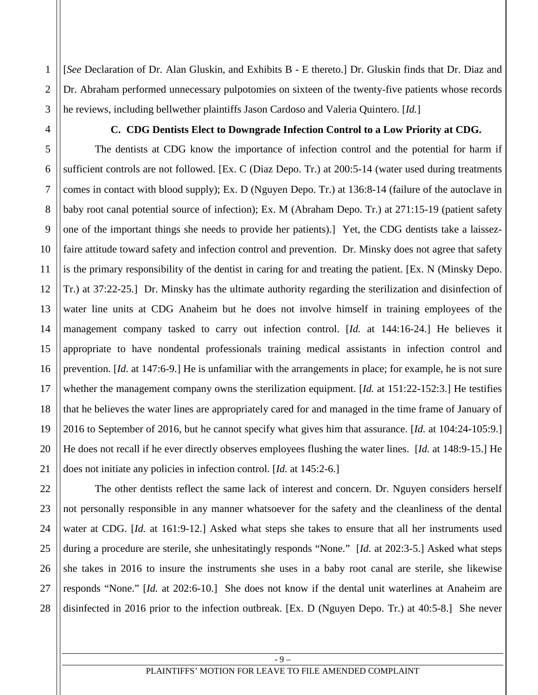[*See* Declaration of Dr. Alan Gluskin, and Exhibits B - E thereto.] Dr. Gluskin finds that Dr. Diaz and Dr. Abraham performed unnecessary pulpotomies on sixteen of the twenty-five patients whose records he reviews, including bellwether plaintiffs Jason Cardoso and Valeria Quintero. [*Id.*]

#### **C. CDG Dentists Elect to Downgrade Infection Control to a Low Priority at CDG.**

The dentists at CDG know the importance of infection control and the potential for harm if sufficient controls are not followed. [Ex. C (Diaz Depo. Tr.) at 200:5-14 (water used during treatments comes in contact with blood supply); Ex. D (Nguyen Depo. Tr.) at 136:8-14 (failure of the autoclave in baby root canal potential source of infection); Ex. M (Abraham Depo. Tr.) at 271:15-19 (patient safety one of the important things she needs to provide her patients).] Yet, the CDG dentists take a laissezfaire attitude toward safety and infection control and prevention. Dr. Minsky does not agree that safety is the primary responsibility of the dentist in caring for and treating the patient. [Ex. N (Minsky Depo. Tr.) at 37:22-25.] Dr. Minsky has the ultimate authority regarding the sterilization and disinfection of water line units at CDG Anaheim but he does not involve himself in training employees of the management company tasked to carry out infection control. [*Id.* at 144:16-24.] He believes it appropriate to have nondental professionals training medical assistants in infection control and prevention. [*Id.* at 147:6-9.] He is unfamiliar with the arrangements in place; for example, he is not sure whether the management company owns the sterilization equipment. [*Id.* at 151:22-152:3.] He testifies that he believes the water lines are appropriately cared for and managed in the time frame of January of 2016 to September of 2016, but he cannot specify what gives him that assurance. [*Id.* at 104:24-105:9.] He does not recall if he ever directly observes employees flushing the water lines. [*Id.* at 148:9-15.] He does not initiate any policies in infection control. [*Id.* at 145:2-6.]

The other dentists reflect the same lack of interest and concern. Dr. Nguyen considers herself not personally responsible in any manner whatsoever for the safety and the cleanliness of the dental water at CDG. [*Id.* at 161:9-12.] Asked what steps she takes to ensure that all her instruments used during a procedure are sterile, she unhesitatingly responds "None." [*Id.* at 202:3-5.] Asked what steps she takes in 2016 to insure the instruments she uses in a baby root canal are sterile, she likewise responds "None." [*Id.* at 202:6-10.] She does not know if the dental unit waterlines at Anaheim are disinfected in 2016 prior to the infection outbreak. [Ex. D (Nguyen Depo. Tr.) at 40:5-8.] She never

1

2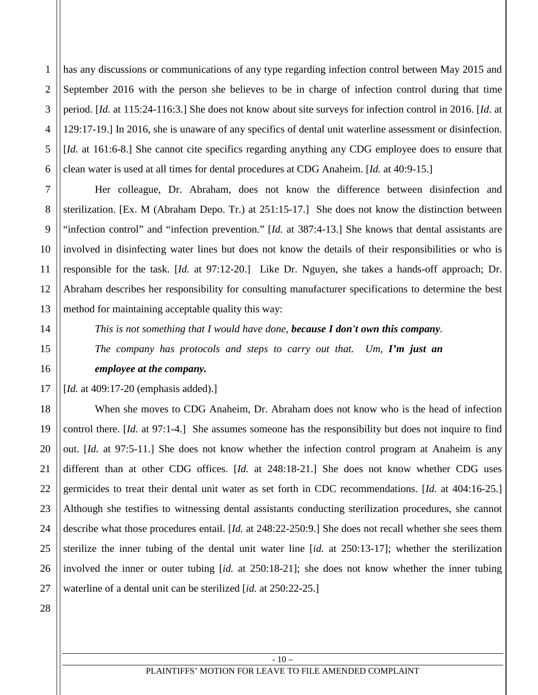1 2 3 4 5 6 has any discussions or communications of any type regarding infection control between May 2015 and September 2016 with the person she believes to be in charge of infection control during that time period. [*Id.* at 115:24-116:3.] She does not know about site surveys for infection control in 2016. [*Id.* at 129:17-19.] In 2016, she is unaware of any specifics of dental unit waterline assessment or disinfection. [*Id.* at 161:6-8.] She cannot cite specifics regarding anything any CDG employee does to ensure that clean water is used at all times for dental procedures at CDG Anaheim. [*Id.* at 40:9-15.]

Her colleague, Dr. Abraham, does not know the difference between disinfection and sterilization. [Ex. M (Abraham Depo. Tr.) at 251:15-17.] She does not know the distinction between "infection control" and "infection prevention." [*Id.* at 387:4-13.] She knows that dental assistants are involved in disinfecting water lines but does not know the details of their responsibilities or who is responsible for the task. [*Id.* at 97:12-20.] Like Dr. Nguyen, she takes a hands-off approach; Dr. Abraham describes her responsibility for consulting manufacturer specifications to determine the best method for maintaining acceptable quality this way:

*This is not something that I would have done, because I don't own this company.* 

*The company has protocols and steps to carry out that. Um, I'm just an* 

### *employee at the company.*

[*Id.* at 409:17-20 (emphasis added).]

When she moves to CDG Anaheim, Dr. Abraham does not know who is the head of infection control there. [*Id.* at 97:1-4.] She assumes someone has the responsibility but does not inquire to find out. [*Id.* at 97:5-11.] She does not know whether the infection control program at Anaheim is any different than at other CDG offices. [*Id.* at 248:18-21.] She does not know whether CDG uses germicides to treat their dental unit water as set forth in CDC recommendations. [*Id.* at 404:16-25.] Although she testifies to witnessing dental assistants conducting sterilization procedures, she cannot describe what those procedures entail. [*Id.* at 248:22-250:9.] She does not recall whether she sees them sterilize the inner tubing of the dental unit water line [*id.* at 250:13-17]; whether the sterilization involved the inner or outer tubing [*id.* at 250:18-21]; she does not know whether the inner tubing waterline of a dental unit can be sterilized [*id.* at 250:22-25.]

28

7

8

9

10

11

12

13

14

15

16

17

18

19

20

21

22

23

24

25

26

27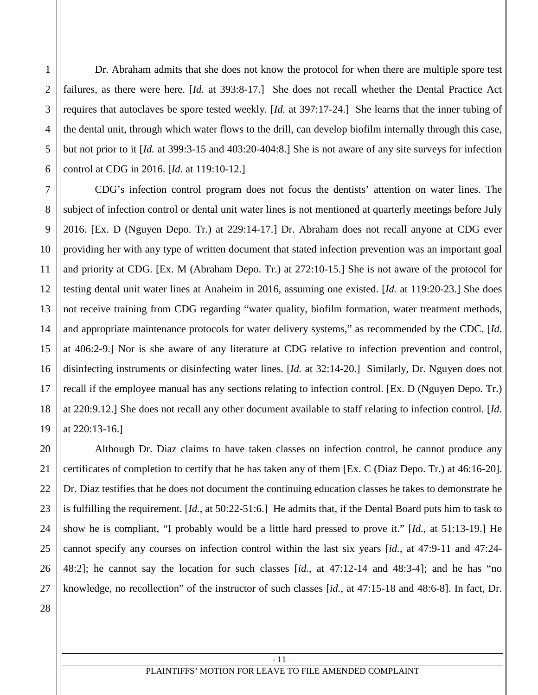Dr. Abraham admits that she does not know the protocol for when there are multiple spore test failures, as there were here. [*Id.* at 393:8-17.] She does not recall whether the Dental Practice Act requires that autoclaves be spore tested weekly. [*Id.* at 397:17-24.] She learns that the inner tubing of the dental unit, through which water flows to the drill, can develop biofilm internally through this case, but not prior to it [*Id.* at 399:3-15 and 403:20-404:8.] She is not aware of any site surveys for infection control at CDG in 2016. [*Id.* at 119:10-12.]

CDG's infection control program does not focus the dentists' attention on water lines. The subject of infection control or dental unit water lines is not mentioned at quarterly meetings before July 2016. [Ex. D (Nguyen Depo. Tr.) at 229:14-17.] Dr. Abraham does not recall anyone at CDG ever providing her with any type of written document that stated infection prevention was an important goal and priority at CDG. [Ex. M (Abraham Depo. Tr.) at 272:10-15.] She is not aware of the protocol for testing dental unit water lines at Anaheim in 2016, assuming one existed. [*Id.* at 119:20-23.] She does not receive training from CDG regarding "water quality, biofilm formation, water treatment methods, and appropriate maintenance protocols for water delivery systems," as recommended by the CDC. [*Id.* at 406:2-9.] Nor is she aware of any literature at CDG relative to infection prevention and control, disinfecting instruments or disinfecting water lines. [*Id.* at 32:14-20.] Similarly, Dr. Nguyen does not recall if the employee manual has any sections relating to infection control. [Ex. D (Nguyen Depo. Tr.) at 220:9.12.] She does not recall any other document available to staff relating to infection control. [*Id.* at 220:13-16.]

20 22 23 24 25 26 27 Although Dr. Diaz claims to have taken classes on infection control, he cannot produce any certificates of completion to certify that he has taken any of them [Ex. C (Diaz Depo. Tr.) at 46:16-20]. Dr. Diaz testifies that he does not document the continuing education classes he takes to demonstrate he is fulfilling the requirement. [*Id.*, at 50:22-51:6.] He admits that, if the Dental Board puts him to task to show he is compliant, "I probably would be a little hard pressed to prove it." [*Id.*, at 51:13-19.] He cannot specify any courses on infection control within the last six years [*id.*, at 47:9-11 and 47:24- 48:2]; he cannot say the location for such classes [*id.*, at 47:12-14 and 48:3-4]; and he has "no knowledge, no recollection" of the instructor of such classes [*id.*, at 47:15-18 and 48:6-8]. In fact, Dr.

28

1

2

3

4

5

6

7

8

9

10

11

12

13

14

15

16

17

18

19

21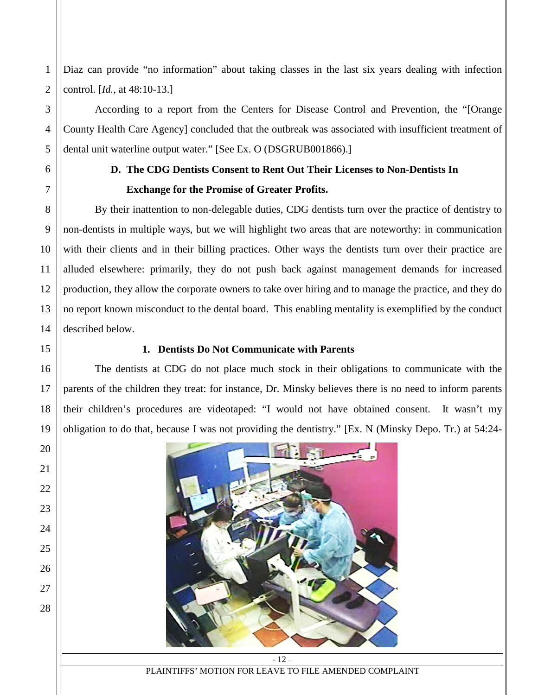Diaz can provide "no information" about taking classes in the last six years dealing with infection control. [*Id.*, at 48:10-13.]

According to a report from the Centers for Disease Control and Prevention, the "[Orange County Health Care Agency] concluded that the outbreak was associated with insufficient treatment of dental unit waterline output water." [See Ex. O (DSGRUB001866).]

1

# **D. The CDG Dentists Consent to Rent Out Their Licenses to Non-Dentists In Exchange for the Promise of Greater Profits.**

By their inattention to non-delegable duties, CDG dentists turn over the practice of dentistry to non-dentists in multiple ways, but we will highlight two areas that are noteworthy: in communication with their clients and in their billing practices. Other ways the dentists turn over their practice are alluded elsewhere: primarily, they do not push back against management demands for increased production, they allow the corporate owners to take over hiring and to manage the practice, and they do no report known misconduct to the dental board. This enabling mentality is exemplified by the conduct described below.

# **1. Dentists Do Not Communicate with Parents**

The dentists at CDG do not place much stock in their obligations to communicate with the parents of the children they treat: for instance, Dr. Minsky believes there is no need to inform parents their children's procedures are videotaped: "I would not have obtained consent. It wasn't my obligation to do that, because I was not providing the dentistry." [Ex. N (Minsky Depo. Tr.) at 54:24-

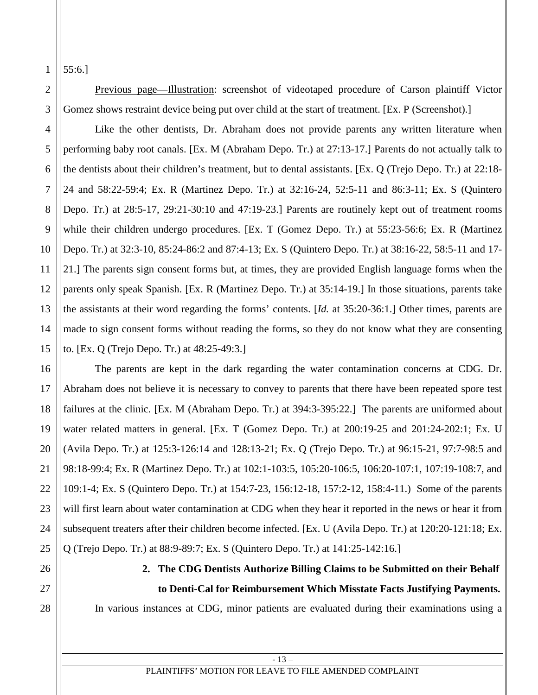1 55:6.]

2

3

4

5

6

7

8

9

10

11

12

13

14

15

16

17

18

19

20

21

22

23

24

25

Previous page—Illustration: screenshot of videotaped procedure of Carson plaintiff Victor Gomez shows restraint device being put over child at the start of treatment. [Ex. P (Screenshot).]

Like the other dentists, Dr. Abraham does not provide parents any written literature when performing baby root canals. [Ex. M (Abraham Depo. Tr.) at 27:13-17.] Parents do not actually talk to the dentists about their children's treatment, but to dental assistants. [Ex. Q (Trejo Depo. Tr.) at 22:18- 24 and 58:22-59:4; Ex. R (Martinez Depo. Tr.) at 32:16-24, 52:5-11 and 86:3-11; Ex. S (Quintero Depo. Tr.) at 28:5-17, 29:21-30:10 and 47:19-23.] Parents are routinely kept out of treatment rooms while their children undergo procedures. [Ex. T (Gomez Depo. Tr.) at 55:23-56:6; Ex. R (Martinez Depo. Tr.) at 32:3-10, 85:24-86:2 and 87:4-13; Ex. S (Quintero Depo. Tr.) at 38:16-22, 58:5-11 and 17- 21.] The parents sign consent forms but, at times, they are provided English language forms when the parents only speak Spanish. [Ex. R (Martinez Depo. Tr.) at 35:14-19.] In those situations, parents take the assistants at their word regarding the forms' contents. [*Id.* at 35:20-36:1.] Other times, parents are made to sign consent forms without reading the forms, so they do not know what they are consenting to. [Ex. Q (Trejo Depo. Tr.) at 48:25-49:3.]

The parents are kept in the dark regarding the water contamination concerns at CDG. Dr. Abraham does not believe it is necessary to convey to parents that there have been repeated spore test failures at the clinic. [Ex. M (Abraham Depo. Tr.) at 394:3-395:22.] The parents are uniformed about water related matters in general. [Ex. T (Gomez Depo. Tr.) at 200:19-25 and 201:24-202:1; Ex. U (Avila Depo. Tr.) at 125:3-126:14 and 128:13-21; Ex. Q (Trejo Depo. Tr.) at 96:15-21, 97:7-98:5 and 98:18-99:4; Ex. R (Martinez Depo. Tr.) at 102:1-103:5, 105:20-106:5, 106:20-107:1, 107:19-108:7, and 109:1-4; Ex. S (Quintero Depo. Tr.) at 154:7-23, 156:12-18, 157:2-12, 158:4-11.) Some of the parents will first learn about water contamination at CDG when they hear it reported in the news or hear it from subsequent treaters after their children become infected. [Ex. U (Avila Depo. Tr.) at 120:20-121:18; Ex. Q (Trejo Depo. Tr.) at 88:9-89:7; Ex. S (Quintero Depo. Tr.) at 141:25-142:16.]

26 27

28

**2. The CDG Dentists Authorize Billing Claims to be Submitted on their Behalf to Denti-Cal for Reimbursement Which Misstate Facts Justifying Payments.**

In various instances at CDG, minor patients are evaluated during their examinations using a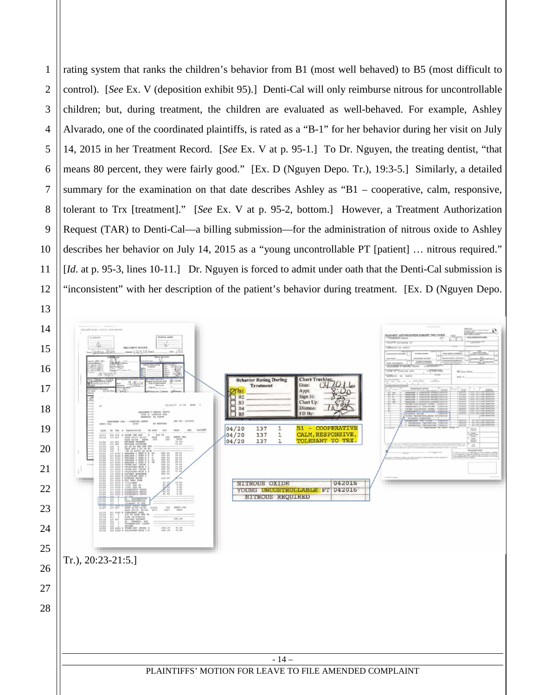rating system that ranks the children's behavior from B1 (most well behaved) to B5 (most difficult to control). [*See* Ex. V (deposition exhibit 95).] Denti-Cal will only reimburse nitrous for uncontrollable children; but, during treatment, the children are evaluated as well-behaved. For example, Ashley Alvarado, one of the coordinated plaintiffs, is rated as a "B-1" for her behavior during her visit on July 14, 2015 in her Treatment Record. [*See* Ex. V at p. 95-1.] To Dr. Nguyen, the treating dentist, "that means 80 percent, they were fairly good." [Ex. D (Nguyen Depo. Tr.), 19:3-5.] Similarly, a detailed summary for the examination on that date describes Ashley as "B1 – cooperative, calm, responsive, tolerant to Trx [treatment]." [*See* Ex. V at p. 95-2, bottom.] However, a Treatment Authorization Request (TAR) to Denti-Cal—a billing submission—for the administration of nitrous oxide to Ashley describes her behavior on July 14, 2015 as a "young uncontrollable PT [patient] … nitrous required." [*Id.* at p. 95-3, lines 10-11.] Dr. Nguyen is forced to admit under oath that the Denti-Cal submission is 'inconsistent'' with her description of the patient's behavior during treatment. [Ex. D (Nguyen Depo.

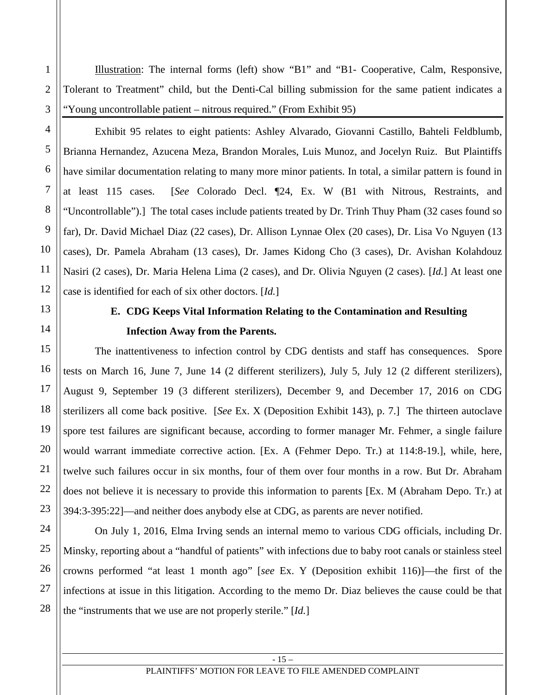Illustration: The internal forms (left) show "B1" and "B1- Cooperative, Calm, Responsive, Tolerant to Treatment" child, but the Denti-Cal billing submission for the same patient indicates a "Young uncontrollable patient – nitrous required." (From Exhibit 95)

Exhibit 95 relates to eight patients: Ashley Alvarado, Giovanni Castillo, Bahteli Feldblumb, Brianna Hernandez, Azucena Meza, Brandon Morales, Luis Munoz, and Jocelyn Ruiz. But Plaintiffs have similar documentation relating to many more minor patients. In total, a similar pattern is found in at least 115 cases. [*See* Colorado Decl. ¶24, Ex. W (B1 with Nitrous, Restraints, and "Uncontrollable").] The total cases include patients treated by Dr. Trinh Thuy Pham (32 cases found so far), Dr. David Michael Diaz (22 cases), Dr. Allison Lynnae Olex (20 cases), Dr. Lisa Vo Nguyen (13 cases), Dr. Pamela Abraham (13 cases), Dr. James Kidong Cho (3 cases), Dr. Avishan Kolahdouz Nasiri (2 cases), Dr. Maria Helena Lima (2 cases), and Dr. Olivia Nguyen (2 cases). [*Id.*] At least one case is identified for each of six other doctors. [*Id.*]

1

2

3

4

5

6

7

8

9

10

11

12

13

14

15

16

17

18

19

20

21

22

23

24

25

26

27

28

# **E. CDG Keeps Vital Information Relating to the Contamination and Resulting Infection Away from the Parents.**

The inattentiveness to infection control by CDG dentists and staff has consequences. Spore tests on March 16, June 7, June 14 (2 different sterilizers), July 5, July 12 (2 different sterilizers), August 9, September 19 (3 different sterilizers), December 9, and December 17, 2016 on CDG sterilizers all come back positive. [*See* Ex. X (Deposition Exhibit 143), p. 7.] The thirteen autoclave spore test failures are significant because, according to former manager Mr. Fehmer, a single failure would warrant immediate corrective action. [Ex. A (Fehmer Depo. Tr.) at 114:8-19.], while, here, twelve such failures occur in six months, four of them over four months in a row. But Dr. Abraham does not believe it is necessary to provide this information to parents [Ex. M (Abraham Depo. Tr.) at 394:3-395:22]—and neither does anybody else at CDG, as parents are never notified.

On July 1, 2016, Elma Irving sends an internal memo to various CDG officials, including Dr. Minsky, reporting about a "handful of patients" with infections due to baby root canals or stainless steel crowns performed "at least 1 month ago" [*see* Ex. Y (Deposition exhibit 116)]—the first of the infections at issue in this litigation. According to the memo Dr. Diaz believes the cause could be that the "instruments that we use are not properly sterile." [*Id.*]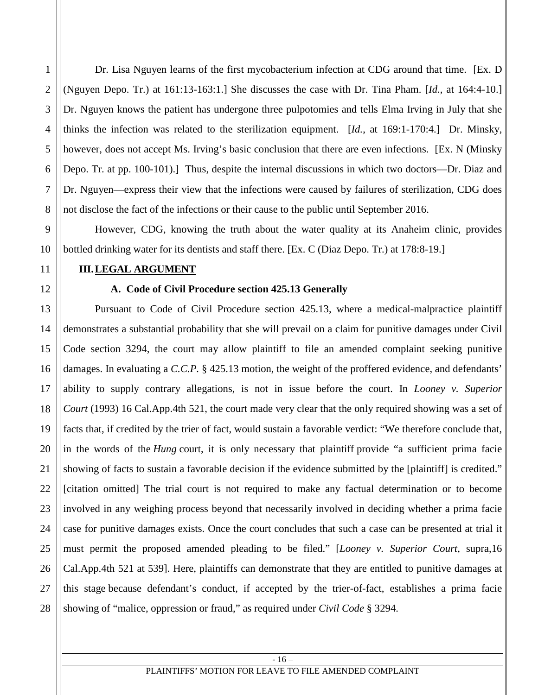Dr. Lisa Nguyen learns of the first mycobacterium infection at CDG around that time. [Ex. D (Nguyen Depo. Tr.) at 161:13-163:1.] She discusses the case with Dr. Tina Pham. [*Id.*, at 164:4-10.] Dr. Nguyen knows the patient has undergone three pulpotomies and tells Elma Irving in July that she thinks the infection was related to the sterilization equipment. [*Id.*, at 169:1-170:4.] Dr. Minsky, however, does not accept Ms. Irving's basic conclusion that there are even infections. [Ex. N (Minsky Depo. Tr. at pp. 100-101).] Thus, despite the internal discussions in which two doctors—Dr. Diaz and Dr. Nguyen—express their view that the infections were caused by failures of sterilization, CDG does not disclose the fact of the infections or their cause to the public until September 2016.

However, CDG, knowing the truth about the water quality at its Anaheim clinic, provides bottled drinking water for its dentists and staff there. [Ex. C (Diaz Depo. Tr.) at 178:8-19.]

### **III.LEGAL ARGUMENT**

## **A. Code of Civil Procedure section 425.13 Generally**

Pursuant to Code of Civil Procedure section 425.13, where a medical-malpractice plaintiff demonstrates a substantial probability that she will prevail on a claim for punitive damages under Civil Code section 3294, the court may allow plaintiff to file an amended complaint seeking punitive damages. In evaluating a *C.C.P.* § 425.13 motion, the weight of the proffered evidence, and defendants' ability to supply contrary allegations, is not in issue before the court. In *Looney v. Superior Court* (1993) 16 Cal.App.4th 521, the court made very clear that the only required showing was a set of facts that, if credited by the trier of fact, would sustain a favorable verdict: "We therefore conclude that, in the words of the *Hung* court, it is only necessary that plaintiff provide "a sufficient prima facie showing of facts to sustain a favorable decision if the evidence submitted by the [plaintiff] is credited." [citation omitted] The trial court is not required to make any factual determination or to become involved in any weighing process beyond that necessarily involved in deciding whether a prima facie case for punitive damages exists. Once the court concludes that such a case can be presented at trial it must permit the proposed amended pleading to be filed." [*Looney v. Superior Court*, supra,16 Cal.App.4th 521 at 539]. Here, plaintiffs can demonstrate that they are entitled to punitive damages at this stage because defendant's conduct, if accepted by the trier-of-fact, establishes a prima facie showing of "malice, oppression or fraud," as required under *Civil Code* § 3294.

1

2

3

4

5

6

7

8

9

10

11

12

13

14

15

16

17

18

19

20

21

22

23

24

25

26

27

28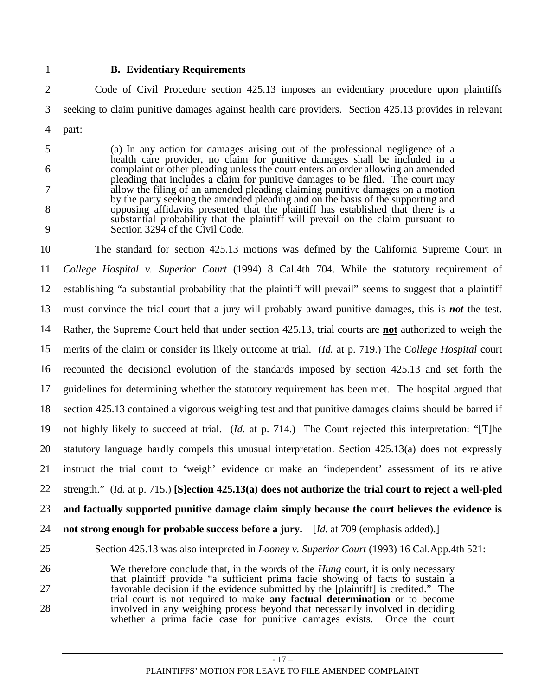### **B. Evidentiary Requirements**

Code of Civil Procedure section 425.13 imposes an evidentiary procedure upon plaintiffs seeking to claim punitive damages against health care providers. Section 425.13 provides in relevant part:

> (a) In any action for damages arising out of the professional negligence of a health care provider, no claim for punitive damages shall be included in a complaint or other pleading unless the court enters an order allowing an amended pleading that includes a claim for punitive damages to be filed. The court may allow the filing of an amended pleading claiming punitive damages on a motion by the party seeking the amended pleading and on the basis of the supporting and opposing affidavits presented that the plaintiff has established that there is a substantial probability that the plaintiff will prevail on the claim pursuant to Section 3294 of the Civil Code.

The standard for section 425.13 motions was defined by the California Supreme Court in *College Hospital v. Superior Court* (1994) 8 Cal.4th 704. While the statutory requirement of establishing "a substantial probability that the plaintiff will prevail" seems to suggest that a plaintiff must convince the trial court that a jury will probably award punitive damages, this is *not* the test. Rather, the Supreme Court held that under section 425.13, trial courts are **not** authorized to weigh the merits of the claim or consider its likely outcome at trial. (*Id.* at p. 719.) The *College Hospital* court recounted the decisional evolution of the standards imposed by section 425.13 and set forth the guidelines for determining whether the statutory requirement has been met. The hospital argued that section 425.13 contained a vigorous weighing test and that punitive damages claims should be barred if not highly likely to succeed at trial. (*Id.* at p. 714.) The Court rejected this interpretation: "[T]he statutory language hardly compels this unusual interpretation. Section 425.13(a) does not expressly instruct the trial court to 'weigh' evidence or make an 'independent' assessment of its relative strength." (*Id.* at p. 715.) **[S]ection 425.13(a) does not authorize the trial court to reject a well-pled and factually supported punitive damage claim simply because the court believes the evidence is not strong enough for probable success before a jury.** [*Id.* at 709 (emphasis added).] Section 425.13 was also interpreted in *Looney v. Superior Court* (1993) 16 Cal.App.4th 521:

> We therefore conclude that, in the words of the *Hung* court, it is only necessary that plaintiff provide "a sufficient prima facie showing of facts to sustain a favorable decision if the evidence submitted by the [plaintiff] is credited." The trial court is not required to make **any factual determination** or to become involved in any weighing process beyond that necessarily involved in deciding whether a prima facie case for punitive damages exists. Once the court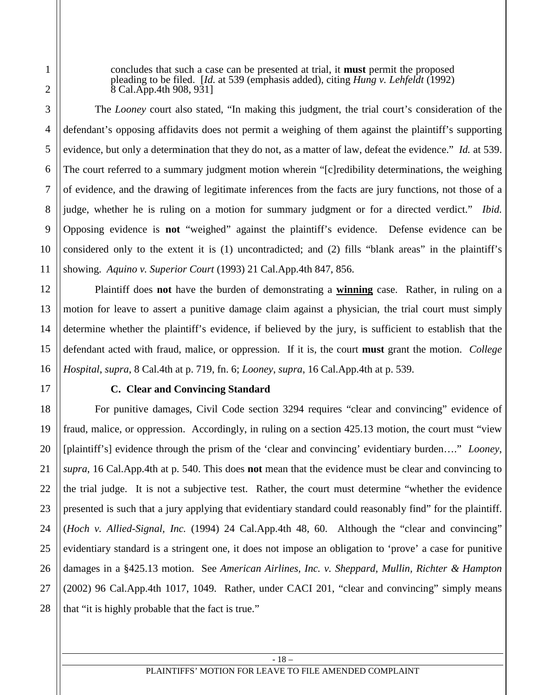concludes that such a case can be presented at trial, it **must** permit the proposed pleading to be filed. [*Id.* at 539 (emphasis added), citing *Hung v. Lehfeldt* (1992) 8 Cal.App.4th 908, 931]

The *Looney* court also stated, "In making this judgment, the trial court's consideration of the defendant's opposing affidavits does not permit a weighing of them against the plaintiff's supporting evidence, but only a determination that they do not, as a matter of law, defeat the evidence." *Id.* at 539. The court referred to a summary judgment motion wherein "[c]redibility determinations, the weighing of evidence, and the drawing of legitimate inferences from the facts are jury functions, not those of a judge, whether he is ruling on a motion for summary judgment or for a directed verdict." *Ibid.*  Opposing evidence is **not** "weighed" against the plaintiff's evidence. Defense evidence can be considered only to the extent it is (1) uncontradicted; and (2) fills "blank areas" in the plaintiff's showing. *Aquino v. Superior Court* (1993) 21 Cal.App.4th 847, 856.

Plaintiff does **not** have the burden of demonstrating a **winning** case. Rather, in ruling on a motion for leave to assert a punitive damage claim against a physician, the trial court must simply determine whether the plaintiff's evidence, if believed by the jury, is sufficient to establish that the defendant acted with fraud, malice, or oppression. If it is, the court **must** grant the motion. *College Hospital*, *supra*, 8 Cal.4th at p. 719, fn. 6; *Looney*, *supra*, 16 Cal.App.4th at p. 539.

### **C. Clear and Convincing Standard**

For punitive damages, Civil Code section 3294 requires "clear and convincing" evidence of fraud, malice, or oppression. Accordingly, in ruling on a section 425.13 motion, the court must "view [plaintiff's] evidence through the prism of the 'clear and convincing' evidentiary burden…." *Looney*, *supra*, 16 Cal.App.4th at p. 540. This does **not** mean that the evidence must be clear and convincing to the trial judge. It is not a subjective test. Rather, the court must determine "whether the evidence presented is such that a jury applying that evidentiary standard could reasonably find" for the plaintiff. (*Hoch v. Allied-Signal, Inc.* (1994) 24 Cal.App.4th 48, 60. Although the "clear and convincing" evidentiary standard is a stringent one, it does not impose an obligation to 'prove' a case for punitive damages in a §425.13 motion. See *American Airlines, Inc. v. Sheppard, Mullin, Richter & Hampton* (2002) 96 Cal.App.4th 1017, 1049. Rather, under CACI 201, "clear and convincing" simply means that "it is highly probable that the fact is true."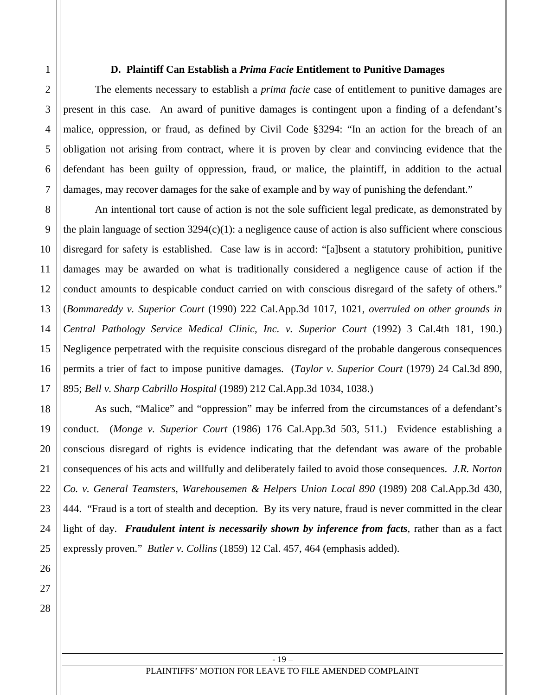#### **D. Plaintiff Can Establish a** *Prima Facie* **Entitlement to Punitive Damages**

The elements necessary to establish a *prima facie* case of entitlement to punitive damages are present in this case. An award of punitive damages is contingent upon a finding of a defendant's malice, oppression, or fraud, as defined by Civil Code §3294: "In an action for the breach of an obligation not arising from contract, where it is proven by clear and convincing evidence that the defendant has been guilty of oppression, fraud, or malice, the plaintiff, in addition to the actual damages, may recover damages for the sake of example and by way of punishing the defendant."

An intentional tort cause of action is not the sole sufficient legal predicate, as demonstrated by the plain language of section  $3294(c)(1)$ : a negligence cause of action is also sufficient where conscious disregard for safety is established. Case law is in accord: "[a]bsent a statutory prohibition, punitive damages may be awarded on what is traditionally considered a negligence cause of action if the conduct amounts to despicable conduct carried on with conscious disregard of the safety of others." (*Bommareddy v. Superior Court* (1990) 222 Cal.App.3d 1017, 1021, *overruled on other grounds in Central Pathology Service Medical Clinic, Inc. v. Superior Court* (1992) 3 Cal.4th 181, 190.) Negligence perpetrated with the requisite conscious disregard of the probable dangerous consequences permits a trier of fact to impose punitive damages. (*Taylor v. Superior Court* (1979) 24 Cal.3d 890, 895; *Bell v. Sharp Cabrillo Hospital* (1989) 212 Cal.App.3d 1034, 1038.)

As such, "Malice" and "oppression" may be inferred from the circumstances of a defendant's conduct. (*Monge v. Superior Court* (1986) 176 Cal.App.3d 503, 511.) Evidence establishing a conscious disregard of rights is evidence indicating that the defendant was aware of the probable consequences of his acts and willfully and deliberately failed to avoid those consequences. *J.R. Norton Co. v. General Teamsters, Warehousemen & Helpers Union Local 890* (1989) 208 Cal.App.3d 430, 444. "Fraud is a tort of stealth and deception. By its very nature, fraud is never committed in the clear light of day. *Fraudulent intent is necessarily shown by inference from facts*, rather than as a fact expressly proven." *Butler v. Collins* (1859) 12 Cal. 457, 464 (emphasis added).

26 27 28

1

2

3

4

5

6

7

8

9

10

11

12

13

14

15

16

17

18

19

20

21

22

23

24

25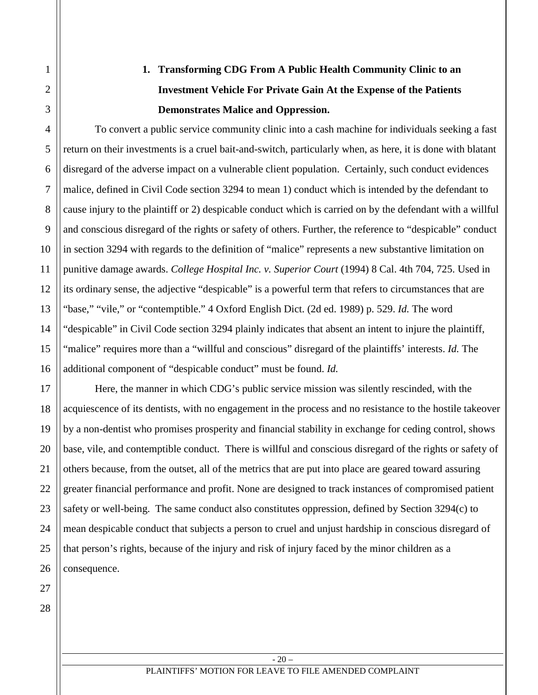# **1. Transforming CDG From A Public Health Community Clinic to an Investment Vehicle For Private Gain At the Expense of the Patients Demonstrates Malice and Oppression.**

To convert a public service community clinic into a cash machine for individuals seeking a fast return on their investments is a cruel bait-and-switch, particularly when, as here, it is done with blatant disregard of the adverse impact on a vulnerable client population. Certainly, such conduct evidences malice, defined in Civil Code section 3294 to mean 1) conduct which is intended by the defendant to cause injury to the plaintiff or 2) despicable conduct which is carried on by the defendant with a willful and conscious disregard of the rights or safety of others. Further, the reference to "despicable" conduct in section 3294 with regards to the definition of "malice" represents a new substantive limitation on punitive damage awards. *College Hospital Inc. v. Superior Court* (1994) 8 Cal. 4th 704, 725. Used in its ordinary sense, the adjective "despicable" is a powerful term that refers to circumstances that are "base," "vile," or "contemptible." 4 Oxford English Dict. (2d ed. 1989) p. 529. *Id.* The word "despicable" in Civil Code section 3294 plainly indicates that absent an intent to injure the plaintiff, "malice" requires more than a "willful and conscious" disregard of the plaintiffs' interests. *Id.* The additional component of "despicable conduct" must be found. *Id.*

Here, the manner in which CDG's public service mission was silently rescinded, with the acquiescence of its dentists, with no engagement in the process and no resistance to the hostile takeover by a non-dentist who promises prosperity and financial stability in exchange for ceding control, shows base, vile, and contemptible conduct. There is willful and conscious disregard of the rights or safety of others because, from the outset, all of the metrics that are put into place are geared toward assuring greater financial performance and profit. None are designed to track instances of compromised patient safety or well-being. The same conduct also constitutes oppression, defined by Section 3294(c) to mean despicable conduct that subjects a person to cruel and unjust hardship in conscious disregard of that person's rights, because of the injury and risk of injury faced by the minor children as a consequence.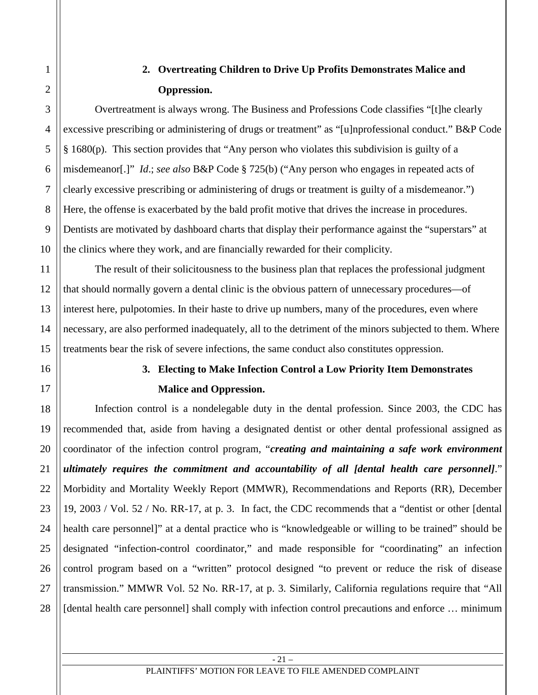# **2. Overtreating Children to Drive Up Profits Demonstrates Malice and Oppression.**

Overtreatment is always wrong. The Business and Professions Code classifies "[t]he clearly excessive prescribing or administering of drugs or treatment" as "[u]nprofessional conduct." B&P Code § 1680(p). This section provides that "Any person who violates this subdivision is guilty of a misdemeanor[.]" *Id*.; *see also* B&P Code § 725(b) ("Any person who engages in repeated acts of clearly excessive prescribing or administering of drugs or treatment is guilty of a misdemeanor.") Here, the offense is exacerbated by the bald profit motive that drives the increase in procedures. Dentists are motivated by dashboard charts that display their performance against the "superstars" at the clinics where they work, and are financially rewarded for their complicity.

The result of their solicitousness to the business plan that replaces the professional judgment that should normally govern a dental clinic is the obvious pattern of unnecessary procedures—of interest here, pulpotomies. In their haste to drive up numbers, many of the procedures, even where necessary, are also performed inadequately, all to the detriment of the minors subjected to them. Where treatments bear the risk of severe infections, the same conduct also constitutes oppression.

# **3. Electing to Make Infection Control a Low Priority Item Demonstrates Malice and Oppression.**

Infection control is a nondelegable duty in the dental profession. Since 2003, the CDC has recommended that, aside from having a designated dentist or other dental professional assigned as coordinator of the infection control program, "*creating and maintaining a safe work environment ultimately requires the commitment and accountability of all [dental health care personnel]*." Morbidity and Mortality Weekly Report (MMWR), Recommendations and Reports (RR), December 19, 2003 / Vol. 52 / No. RR-17, at p. 3. In fact, the CDC recommends that a "dentist or other [dental health care personnel]" at a dental practice who is "knowledgeable or willing to be trained" should be designated "infection-control coordinator," and made responsible for "coordinating" an infection control program based on a "written" protocol designed "to prevent or reduce the risk of disease transmission." MMWR Vol. 52 No. RR-17, at p. 3. Similarly, California regulations require that "All [dental health care personnel] shall comply with infection control precautions and enforce … minimum

1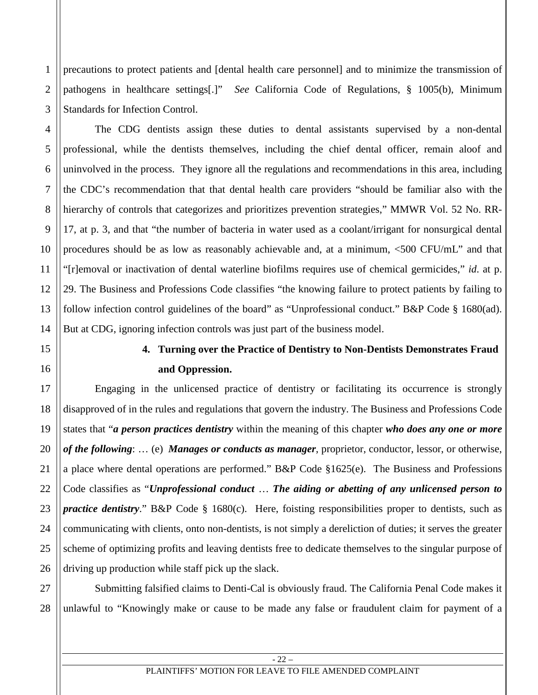precautions to protect patients and [dental health care personnel] and to minimize the transmission of pathogens in healthcare settings[.]" *See* California Code of Regulations, § 1005(b), Minimum Standards for Infection Control.

The CDG dentists assign these duties to dental assistants supervised by a non-dental professional, while the dentists themselves, including the chief dental officer, remain aloof and uninvolved in the process. They ignore all the regulations and recommendations in this area, including the CDC's recommendation that that dental health care providers "should be familiar also with the hierarchy of controls that categorizes and prioritizes prevention strategies," MMWR Vol. 52 No. RR-17, at p. 3, and that "the number of bacteria in water used as a coolant/irrigant for nonsurgical dental procedures should be as low as reasonably achievable and, at a minimum, <500 CFU/mL" and that "[r]emoval or inactivation of dental waterline biofilms requires use of chemical germicides," *id*. at p. 29. The Business and Professions Code classifies "the knowing failure to protect patients by failing to follow infection control guidelines of the board" as "Unprofessional conduct." B&P Code § 1680(ad). But at CDG, ignoring infection controls was just part of the business model.

# **4. Turning over the Practice of Dentistry to Non-Dentists Demonstrates Fraud and Oppression.**

Engaging in the unlicensed practice of dentistry or facilitating its occurrence is strongly disapproved of in the rules and regulations that govern the industry. The Business and Professions Code states that "*a person practices dentistry* within the meaning of this chapter *who does any one or more of the following*: … (e) *Manages or conducts as manager*, proprietor, conductor, lessor, or otherwise, a place where dental operations are performed." B&P Code §1625(e). The Business and Professions Code classifies as "*Unprofessional conduct* … *The aiding or abetting of any unlicensed person to practice dentistry*." B&P Code § 1680(c). Here, foisting responsibilities proper to dentists, such as communicating with clients, onto non-dentists, is not simply a dereliction of duties; it serves the greater scheme of optimizing profits and leaving dentists free to dedicate themselves to the singular purpose of driving up production while staff pick up the slack.

Submitting falsified claims to Denti-Cal is obviously fraud. The California Penal Code makes it unlawful to "Knowingly make or cause to be made any false or fraudulent claim for payment of a

1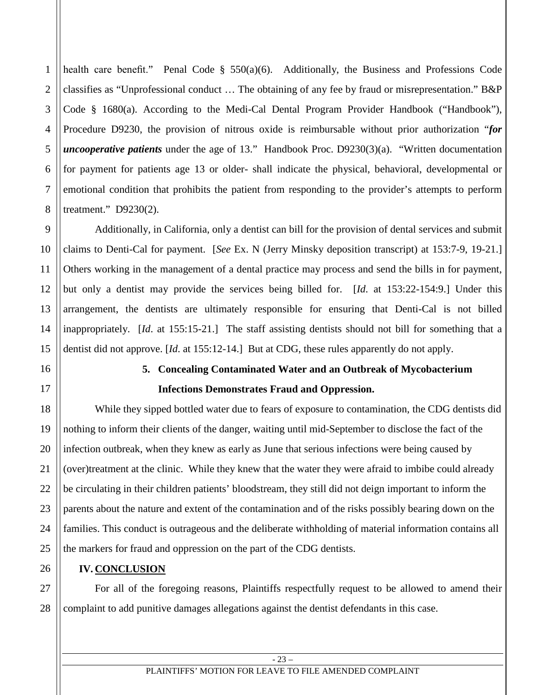health care benefit." Penal Code § 550(a)(6). Additionally, the Business and Professions Code classifies as "Unprofessional conduct … The obtaining of any fee by fraud or misrepresentation." B&P Code § 1680(a). According to the Medi-Cal Dental Program Provider Handbook ("Handbook"), Procedure D9230, the provision of nitrous oxide is reimbursable without prior authorization "*for uncooperative patients* under the age of 13." Handbook Proc. D9230(3)(a). "Written documentation for payment for patients age 13 or older- shall indicate the physical, behavioral, developmental or emotional condition that prohibits the patient from responding to the provider's attempts to perform treatment." D9230(2).

Additionally, in California, only a dentist can bill for the provision of dental services and submit claims to Denti-Cal for payment. [*See* Ex. N (Jerry Minsky deposition transcript) at 153:7-9, 19-21.] Others working in the management of a dental practice may process and send the bills in for payment, but only a dentist may provide the services being billed for. [*Id*. at 153:22-154:9.] Under this arrangement, the dentists are ultimately responsible for ensuring that Denti-Cal is not billed inappropriately. [*Id*. at 155:15-21.] The staff assisting dentists should not bill for something that a dentist did not approve. [*Id*. at 155:12-14.] But at CDG, these rules apparently do not apply.

# **5. Concealing Contaminated Water and an Outbreak of Mycobacterium Infections Demonstrates Fraud and Oppression.**

While they sipped bottled water due to fears of exposure to contamination, the CDG dentists did nothing to inform their clients of the danger, waiting until mid-September to disclose the fact of the infection outbreak, when they knew as early as June that serious infections were being caused by (over)treatment at the clinic. While they knew that the water they were afraid to imbibe could already be circulating in their children patients' bloodstream, they still did not deign important to inform the parents about the nature and extent of the contamination and of the risks possibly bearing down on the families. This conduct is outrageous and the deliberate withholding of material information contains all the markers for fraud and oppression on the part of the CDG dentists.

# **IV. CONCLUSION**

For all of the foregoing reasons, Plaintiffs respectfully request to be allowed to amend their complaint to add punitive damages allegations against the dentist defendants in this case.

#### PLAINTIFFS' MOTION FOR LEAVE TO FILE AMENDED COMPLAINT

1

2

3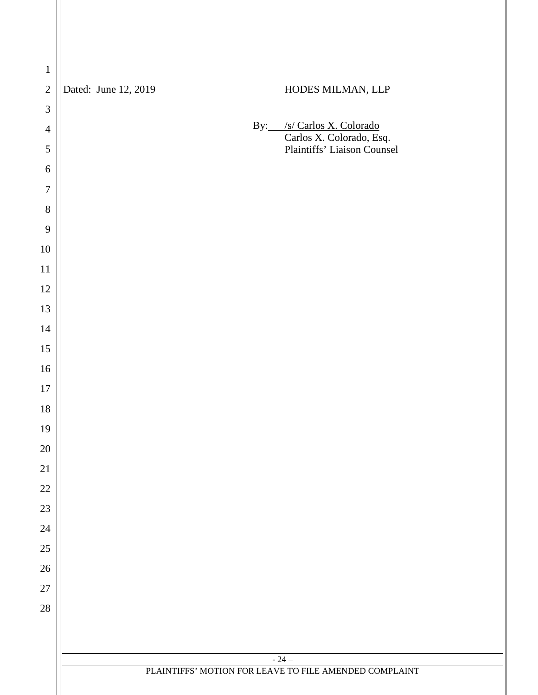| $\mathbf 1$              |                                                        |  |  |  |  |  |  |
|--------------------------|--------------------------------------------------------|--|--|--|--|--|--|
| $\sqrt{2}$               | Dated: June 12, 2019<br>HODES MILMAN, LLP              |  |  |  |  |  |  |
| $\mathfrak{Z}$           |                                                        |  |  |  |  |  |  |
| $\overline{4}$           | By: /s/ Carlos X. Colorado<br>Carlos X. Colorado, Esq. |  |  |  |  |  |  |
| $\sqrt{5}$               | Plaintiffs' Liaison Counsel                            |  |  |  |  |  |  |
| $\sqrt{6}$               |                                                        |  |  |  |  |  |  |
| $\boldsymbol{7}$         |                                                        |  |  |  |  |  |  |
| $8\,$                    |                                                        |  |  |  |  |  |  |
| $\overline{9}$<br>$10\,$ |                                                        |  |  |  |  |  |  |
| $11\,$                   |                                                        |  |  |  |  |  |  |
| $12\,$                   |                                                        |  |  |  |  |  |  |
| 13                       |                                                        |  |  |  |  |  |  |
| 14                       |                                                        |  |  |  |  |  |  |
| 15                       |                                                        |  |  |  |  |  |  |
| $16\,$                   |                                                        |  |  |  |  |  |  |
| $17\,$                   |                                                        |  |  |  |  |  |  |
| $18\,$                   |                                                        |  |  |  |  |  |  |
| 19                       |                                                        |  |  |  |  |  |  |
| $20\,$                   |                                                        |  |  |  |  |  |  |
| $21\,$                   |                                                        |  |  |  |  |  |  |
| $22\,$                   |                                                        |  |  |  |  |  |  |
| 23                       |                                                        |  |  |  |  |  |  |
| $24\,$                   |                                                        |  |  |  |  |  |  |
| $25\,$                   |                                                        |  |  |  |  |  |  |
| $26\,$                   |                                                        |  |  |  |  |  |  |
| $27\,$                   |                                                        |  |  |  |  |  |  |
| $28\,$                   |                                                        |  |  |  |  |  |  |
|                          |                                                        |  |  |  |  |  |  |
|                          | $-24-$                                                 |  |  |  |  |  |  |
|                          | PLAINTIFFS' MOTION FOR LEAVE TO FILE AMENDED COMPLAINT |  |  |  |  |  |  |
|                          |                                                        |  |  |  |  |  |  |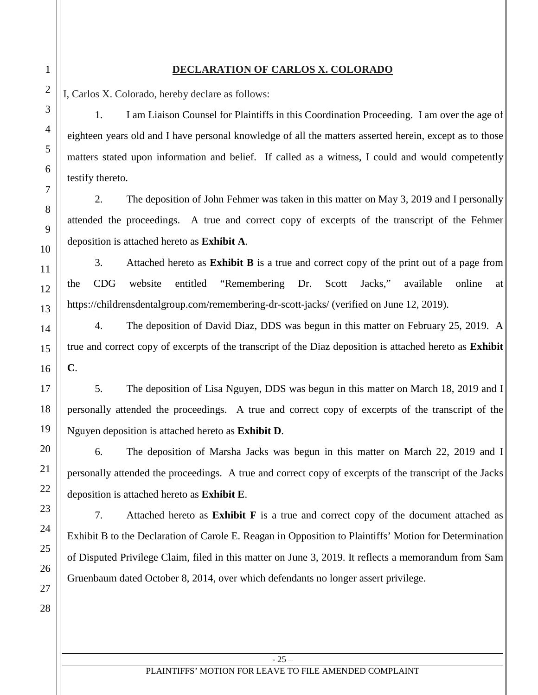# **DECLARATION OF CARLOS X. COLORADO**

I, Carlos X. Colorado, hereby declare as follows:

1. I am Liaison Counsel for Plaintiffs in this Coordination Proceeding. I am over the age of eighteen years old and I have personal knowledge of all the matters asserted herein, except as to those matters stated upon information and belief. If called as a witness, I could and would competently testify thereto.

2. The deposition of John Fehmer was taken in this matter on May 3, 2019 and I personally attended the proceedings. A true and correct copy of excerpts of the transcript of the Fehmer deposition is attached hereto as **Exhibit A**.

3. Attached hereto as **Exhibit B** is a true and correct copy of the print out of a page from the CDG website entitled "Remembering Dr. Scott Jacks," available online at https://childrensdentalgroup.com/remembering-dr-scott-jacks/ (verified on June 12, 2019).

4. The deposition of David Diaz, DDS was begun in this matter on February 25, 2019. A true and correct copy of excerpts of the transcript of the Diaz deposition is attached hereto as **Exhibit C**.

5. The deposition of Lisa Nguyen, DDS was begun in this matter on March 18, 2019 and I personally attended the proceedings. A true and correct copy of excerpts of the transcript of the Nguyen deposition is attached hereto as **Exhibit D**.

6. The deposition of Marsha Jacks was begun in this matter on March 22, 2019 and I personally attended the proceedings. A true and correct copy of excerpts of the transcript of the Jacks deposition is attached hereto as **Exhibit E**.

7. Attached hereto as **Exhibit F** is a true and correct copy of the document attached as Exhibit B to the Declaration of Carole E. Reagan in Opposition to Plaintiffs' Motion for Determination of Disputed Privilege Claim, filed in this matter on June 3, 2019. It reflects a memorandum from Sam Gruenbaum dated October 8, 2014, over which defendants no longer assert privilege.

1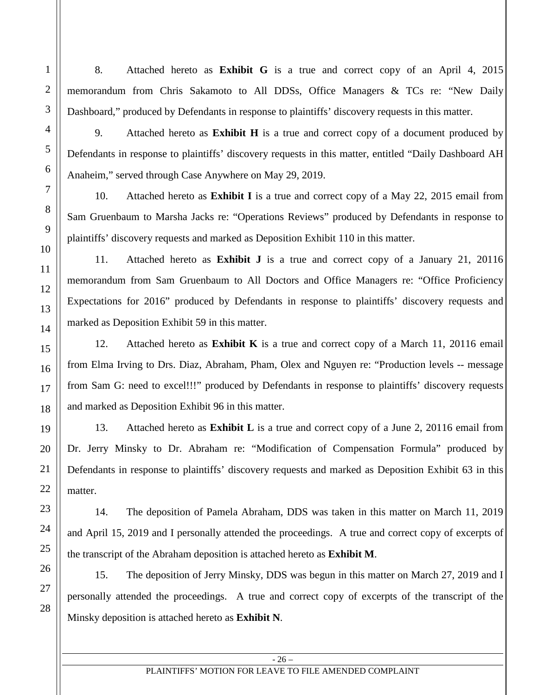8. Attached hereto as **Exhibit G** is a true and correct copy of an April 4, 2015 memorandum from Chris Sakamoto to All DDSs, Office Managers & TCs re: "New Daily Dashboard," produced by Defendants in response to plaintiffs' discovery requests in this matter.

9. Attached hereto as **Exhibit H** is a true and correct copy of a document produced by Defendants in response to plaintiffs' discovery requests in this matter, entitled "Daily Dashboard AH Anaheim," served through Case Anywhere on May 29, 2019.

10. Attached hereto as **Exhibit I** is a true and correct copy of a May 22, 2015 email from Sam Gruenbaum to Marsha Jacks re: "Operations Reviews" produced by Defendants in response to plaintiffs' discovery requests and marked as Deposition Exhibit 110 in this matter.

11. Attached hereto as **Exhibit J** is a true and correct copy of a January 21, 20116 memorandum from Sam Gruenbaum to All Doctors and Office Managers re: "Office Proficiency Expectations for 2016" produced by Defendants in response to plaintiffs' discovery requests and marked as Deposition Exhibit 59 in this matter.

12. Attached hereto as **Exhibit K** is a true and correct copy of a March 11, 20116 email from Elma Irving to Drs. Diaz, Abraham, Pham, Olex and Nguyen re: "Production levels -- message from Sam G: need to excel!!!" produced by Defendants in response to plaintiffs' discovery requests and marked as Deposition Exhibit 96 in this matter.

13. Attached hereto as **Exhibit L** is a true and correct copy of a June 2, 20116 email from Dr. Jerry Minsky to Dr. Abraham re: "Modification of Compensation Formula" produced by Defendants in response to plaintiffs' discovery requests and marked as Deposition Exhibit 63 in this matter.

14. The deposition of Pamela Abraham, DDS was taken in this matter on March 11, 2019 and April 15, 2019 and I personally attended the proceedings. A true and correct copy of excerpts of the transcript of the Abraham deposition is attached hereto as **Exhibit M**.

15. The deposition of Jerry Minsky, DDS was begun in this matter on March 27, 2019 and I personally attended the proceedings. A true and correct copy of excerpts of the transcript of the Minsky deposition is attached hereto as **Exhibit N**.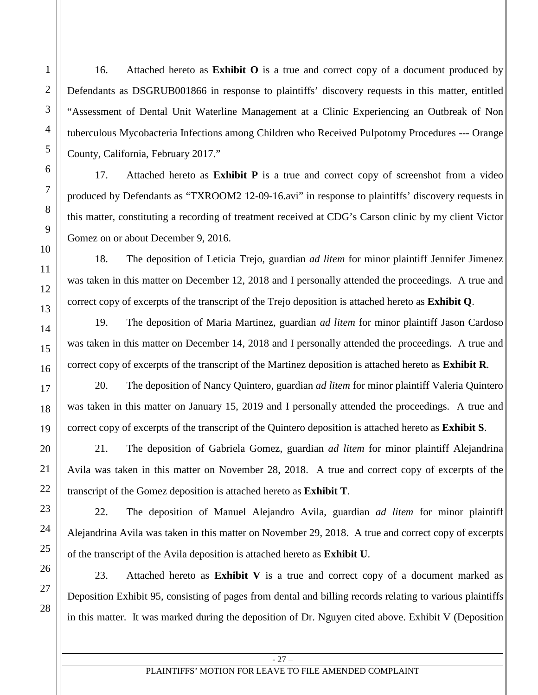16. Attached hereto as **Exhibit O** is a true and correct copy of a document produced by Defendants as DSGRUB001866 in response to plaintiffs' discovery requests in this matter, entitled "Assessment of Dental Unit Waterline Management at a Clinic Experiencing an Outbreak of Non tuberculous Mycobacteria Infections among Children who Received Pulpotomy Procedures --- Orange County, California, February 2017."

17. Attached hereto as **Exhibit P** is a true and correct copy of screenshot from a video produced by Defendants as "TXROOM2 12-09-16.avi" in response to plaintiffs' discovery requests in this matter, constituting a recording of treatment received at CDG's Carson clinic by my client Victor Gomez on or about December 9, 2016.

18. The deposition of Leticia Trejo, guardian *ad litem* for minor plaintiff Jennifer Jimenez was taken in this matter on December 12, 2018 and I personally attended the proceedings. A true and correct copy of excerpts of the transcript of the Trejo deposition is attached hereto as **Exhibit Q**.

19. The deposition of Maria Martinez, guardian *ad litem* for minor plaintiff Jason Cardoso was taken in this matter on December 14, 2018 and I personally attended the proceedings. A true and correct copy of excerpts of the transcript of the Martinez deposition is attached hereto as **Exhibit R**.

20. The deposition of Nancy Quintero, guardian *ad litem* for minor plaintiff Valeria Quintero was taken in this matter on January 15, 2019 and I personally attended the proceedings. A true and correct copy of excerpts of the transcript of the Quintero deposition is attached hereto as **Exhibit S**.

21. The deposition of Gabriela Gomez, guardian *ad litem* for minor plaintiff Alejandrina Avila was taken in this matter on November 28, 2018. A true and correct copy of excerpts of the transcript of the Gomez deposition is attached hereto as **Exhibit T**.

22. The deposition of Manuel Alejandro Avila, guardian *ad litem* for minor plaintiff Alejandrina Avila was taken in this matter on November 29, 2018. A true and correct copy of excerpts of the transcript of the Avila deposition is attached hereto as **Exhibit U**.

23. Attached hereto as **Exhibit V** is a true and correct copy of a document marked as Deposition Exhibit 95, consisting of pages from dental and billing records relating to various plaintiffs in this matter. It was marked during the deposition of Dr. Nguyen cited above. Exhibit V (Deposition